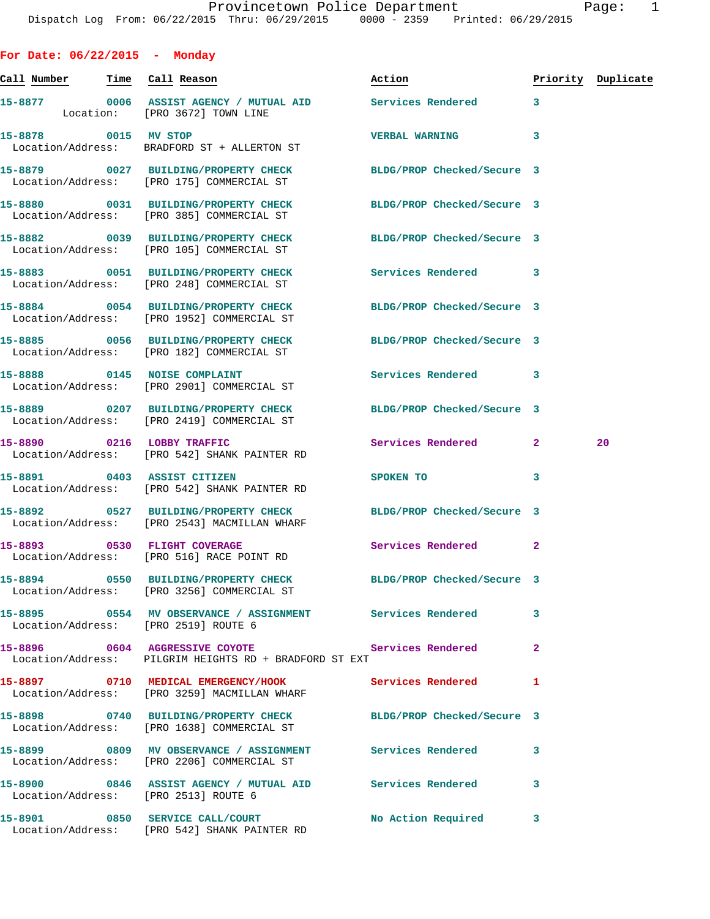| For Date: $06/22/2015$ - Monday |                                                                                                               |                            |              |                    |
|---------------------------------|---------------------------------------------------------------------------------------------------------------|----------------------------|--------------|--------------------|
| Call Number Time Call Reason    |                                                                                                               | Action                     |              | Priority Duplicate |
|                                 | 15-8877 0006 ASSIST AGENCY / MUTUAL AID Services Rendered<br>Location: [PRO 3672] TOWN LINE                   |                            | $\mathbf{3}$ |                    |
| 15-8878 0015 MV STOP            | Location/Address: BRADFORD ST + ALLERTON ST                                                                   | <b>VERBAL WARNING</b>      | 3            |                    |
|                                 | 15-8879 0027 BUILDING/PROPERTY CHECK<br>Location/Address: [PRO 175] COMMERCIAL ST                             | BLDG/PROP Checked/Secure 3 |              |                    |
|                                 | 15-8880 0031 BUILDING/PROPERTY CHECK<br>Location/Address: [PRO 385] COMMERCIAL ST                             | BLDG/PROP Checked/Secure 3 |              |                    |
|                                 | 15-8882 0039 BUILDING/PROPERTY CHECK BLDG/PROP Checked/Secure 3<br>Location/Address: [PRO 105] COMMERCIAL ST  |                            |              |                    |
|                                 | 15-8883 0051 BUILDING/PROPERTY CHECK Services Rendered 3<br>Location/Address: [PRO 248] COMMERCIAL ST         |                            |              |                    |
|                                 | 15-8884 0054 BUILDING/PROPERTY CHECK<br>Location/Address: [PRO 1952] COMMERCIAL ST                            | BLDG/PROP Checked/Secure 3 |              |                    |
|                                 | 15-8885 0056 BUILDING/PROPERTY CHECK BLDG/PROP Checked/Secure 3<br>Location/Address: [PRO 182] COMMERCIAL ST  |                            |              |                    |
|                                 | 15-8888 0145 NOISE COMPLAINT<br>Location/Address: [PRO 2901] COMMERCIAL ST                                    | Services Rendered 3        |              |                    |
|                                 | 15-8889 0207 BUILDING/PROPERTY CHECK<br>Location/Address: [PRO 2419] COMMERCIAL ST                            | BLDG/PROP Checked/Secure 3 |              |                    |
| 15-8890 0216 LOBBY TRAFFIC      | Location/Address: [PRO 542] SHANK PAINTER RD                                                                  | Services Rendered          | $\mathbf{2}$ | 20                 |
|                                 | 15-8891 0403 ASSIST CITIZEN<br>Location/Address: [PRO 542] SHANK PAINTER RD                                   | SPOKEN TO                  | 3            |                    |
|                                 | 15-8892 0527 BUILDING/PROPERTY CHECK<br>Location/Address: [PRO 2543] MACMILLAN WHARF                          | BLDG/PROP Checked/Secure 3 |              |                    |
|                                 | 15-8893 0530 FLIGHT COVERAGE<br>Location/Address: [PRO 516] RACE POINT RD                                     | <b>Services Rendered</b>   | $\mathbf{2}$ |                    |
|                                 | 15-8894 0550 BUILDING/PROPERTY CHECK BLDG/PROP Checked/Secure 3<br>Location/Address: [PRO 3256] COMMERCIAL ST |                            |              |                    |
|                                 | 15-8895 0554 MV OBSERVANCE / ASSIGNMENT Services Rendered<br>Location/Address: [PRO 2519] ROUTE 6             |                            | 3            |                    |
|                                 | 15-8896 0604 AGGRESSIVE COYOTE Services Rendered<br>Location/Address: PILGRIM HEIGHTS RD + BRADFORD ST EXT    |                            | -2           |                    |
|                                 | 15-8897 0710 MEDICAL EMERGENCY/HOOK Services Rendered<br>Location/Address: [PRO 3259] MACMILLAN WHARF         |                            | 1            |                    |
|                                 | 15-8898 0740 BUILDING/PROPERTY CHECK BLDG/PROP Checked/Secure 3<br>Location/Address: [PRO 1638] COMMERCIAL ST |                            |              |                    |
|                                 | 15-8899 		 0809 MV OBSERVANCE / ASSIGNMENT Services Rendered<br>Location/Address: [PRO 2206] COMMERCIAL ST    |                            | 3            |                    |
|                                 | 15-8900 0846 ASSIST AGENCY / MUTUAL AID Services Rendered<br>Location/Address: [PRO 2513] ROUTE 6             |                            | 3            |                    |
|                                 | 15-8901 0850 SERVICE CALL/COURT<br>Location/Address: [PRO 542] SHANK PAINTER RD                               | No Action Required 3       |              |                    |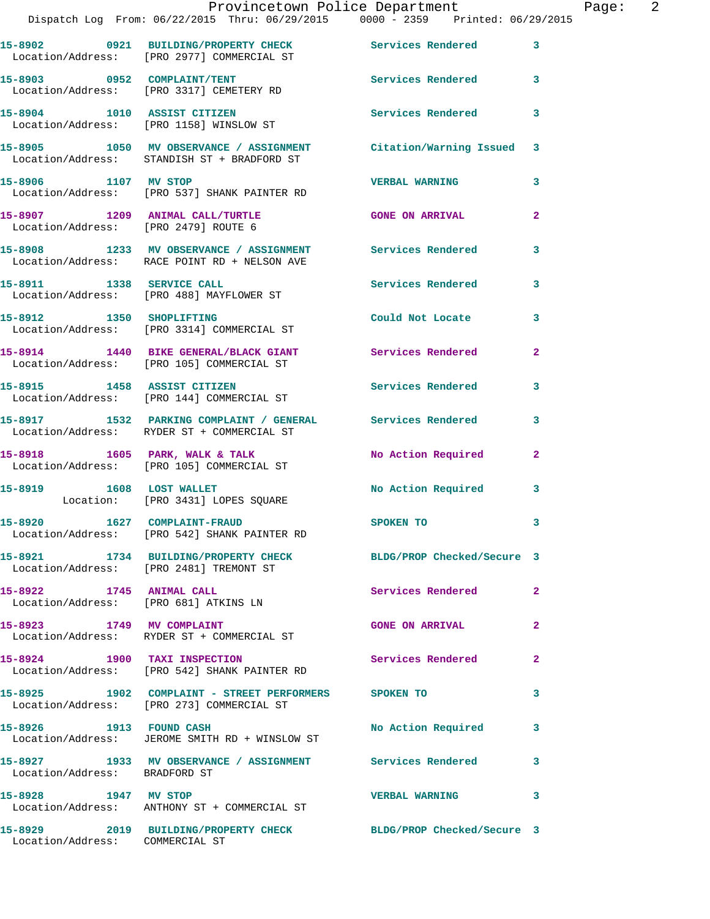|                                      | Provincetown Police Department                                                                                 |                          |                |
|--------------------------------------|----------------------------------------------------------------------------------------------------------------|--------------------------|----------------|
|                                      | Dispatch Log From: 06/22/2015 Thru: 06/29/2015 0000 - 2359 Printed: 06/29/2015                                 |                          |                |
|                                      | 15-8902 0921 BUILDING/PROPERTY CHECK Services Rendered<br>Location/Address: [PRO 2977] COMMERCIAL ST           |                          | 3              |
|                                      | 15-8903 0952 COMPLAINT/TENT<br>Location/Address: [PRO 3317] CEMETERY RD                                        | Services Rendered        | 3              |
|                                      | 15-8904 1010 ASSIST CITIZEN<br>Location/Address: [PRO 1158] WINSLOW ST                                         | <b>Services Rendered</b> | 3              |
|                                      | 15-8905 1050 MV OBSERVANCE / ASSIGNMENT Citation/Warning Issued<br>Location/Address: STANDISH ST + BRADFORD ST |                          | 3              |
| 15-8906 1107 MV STOP                 | Location/Address: [PRO 537] SHANK PAINTER RD                                                                   | <b>VERBAL WARNING</b>    | 3              |
| Location/Address: [PRO 2479] ROUTE 6 | 15-8907 1209 ANIMAL CALL/TURTLE                                                                                | <b>GONE ON ARRIVAL</b>   | $\overline{a}$ |
|                                      | 15-8908 1233 MV OBSERVANCE / ASSIGNMENT Services Rendered<br>Location/Address: RACE POINT RD + NELSON AVE      |                          | 3              |
|                                      | 15-8911 1338 SERVICE CALL<br>Location/Address: [PRO 488] MAYFLOWER ST                                          | <b>Services Rendered</b> | 3              |
| 15-8912 1350 SHOPLIFTING             | Location/Address: [PRO 3314] COMMERCIAL ST                                                                     | Could Not Locate         | 3              |
|                                      | 15-8914 1440 BIKE GENERAL/BLACK GIANT<br>Location/Address: [PRO 105] COMMERCIAL ST                             | <b>Services Rendered</b> | $\mathbf{2}$   |
|                                      | 15-8915 1458 ASSIST CITIZEN<br>Location/Address: [PRO 144] COMMERCIAL ST                                       | <b>Services Rendered</b> | 3              |
|                                      | 15-8917 1532 PARKING COMPLAINT / GENERAL Services Rendered<br>Location/Address: RYDER ST + COMMERCIAL ST       |                          | 3              |
|                                      | 15-8918 1605 PARK, WALK & TALK<br>Location/Address: [PRO 105] COMMERCIAL ST                                    | No Action Required       | 2              |
|                                      | 15-8919 1608 LOST WALLET<br>Location: [PRO 3431] LOPES SQUARE                                                  | No Action Required       | 3              |
|                                      | 15-8920 1627 COMPLAINT-FRAUD<br>Location/Address: [PRO 542] SHANK PAINTER RD                                   | SPOKEN TO                |                |
|                                      | 15-8921 1734 BUILDING/PROPERTY CHECK BLDG/PROP Checked/Secure 3<br>Location/Address: [PRO 2481] TREMONT ST     |                          |                |
| 15-8922 1745 ANIMAL CALL             | Location/Address: [PRO 681] ATKINS LN                                                                          | <b>Services Rendered</b> | $\overline{2}$ |
|                                      | 15-8923 1749 MV COMPLAINT<br>Location/Address: RYDER ST + COMMERCIAL ST                                        | <b>GONE ON ARRIVAL</b>   | $\mathbf{2}$   |
| 15-8924 1900 TAXI INSPECTION         | Location/Address: [PRO 542] SHANK PAINTER RD                                                                   | Services Rendered        | $\overline{a}$ |
|                                      | 15-8925 1902 COMPLAINT - STREET PERFORMERS SPOKEN TO<br>Location/Address: [PRO 273] COMMERCIAL ST              |                          | 3              |
| 15-8926 1913 FOUND CASH              | Location/Address: JEROME SMITH RD + WINSLOW ST                                                                 | No Action Required       | 3              |
| Location/Address: BRADFORD ST        | 15-8927 1933 MV OBSERVANCE / ASSIGNMENT Services Rendered                                                      |                          | 3              |
| 15-8928 1947 MV STOP                 | Location/Address: ANTHONY ST + COMMERCIAL ST                                                                   | <b>VERBAL WARNING</b>    | 3              |
|                                      | 15-8929 2019 BUILDING/PROPERTY CHECK BLDG/PROP Checked/Secure 3                                                |                          |                |

Location/Address: COMMERCIAL ST

Page: 2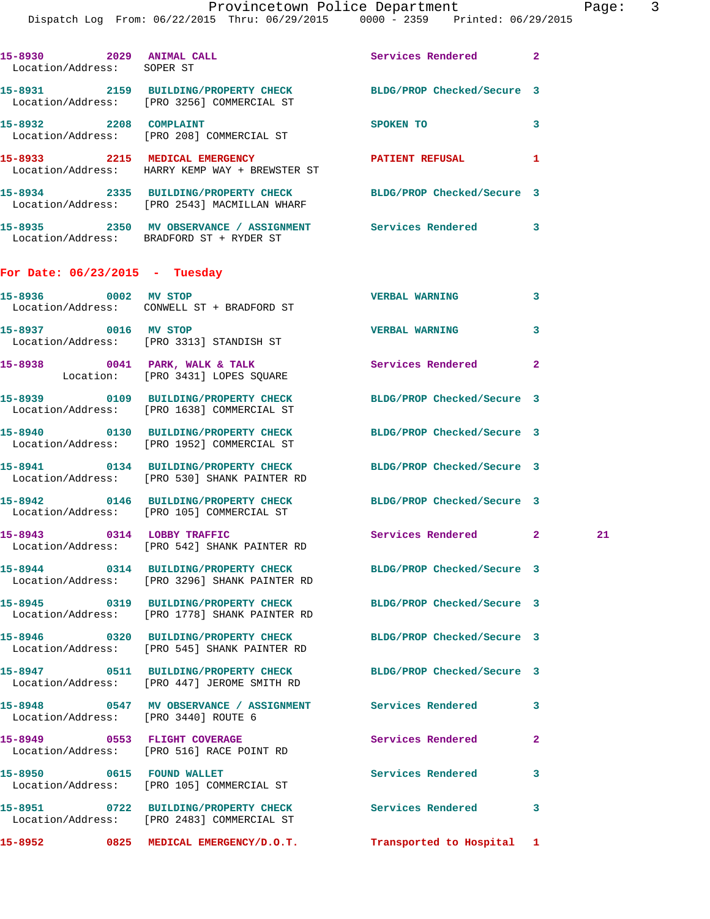|                                      | Provincetown Police Department<br>Dispatch Log From: 06/22/2015 Thru: 06/29/2015 0000 - 2359 Printed: 06/29/2015 |                            |              | Page |
|--------------------------------------|------------------------------------------------------------------------------------------------------------------|----------------------------|--------------|------|
| Location/Address: SOPER ST           | 15-8930 2029 ANIMAL CALL 2008 2 Services Rendered                                                                |                            |              |      |
|                                      | 15-8931 2159 BUILDING/PROPERTY CHECK BLDG/PROP Checked/Secure 3<br>Location/Address: [PRO 3256] COMMERCIAL ST    |                            |              |      |
|                                      | 15-8932 2208 COMPLAINT<br>Location/Address: [PRO 208] COMMERCIAL ST                                              | SPOKEN TO                  | 3            |      |
|                                      | 15-8933 2215 MEDICAL EMERGENCY PATIENT REFUSAL 1<br>Location/Address: HARRY KEMP WAY + BREWSTER ST               |                            |              |      |
|                                      | 15-8934 2335 BUILDING/PROPERTY CHECK BLDG/PROP Checked/Secure 3<br>Location/Address: [PRO 2543] MACMILLAN WHARF  |                            |              |      |
|                                      | 15-8935 2350 MV OBSERVANCE / ASSIGNMENT Services Rendered 3<br>Location/Address: BRADFORD ST + RYDER ST          |                            |              |      |
| For Date: $06/23/2015$ - Tuesday     |                                                                                                                  |                            |              |      |
| 15-8936 0002 MV STOP                 | Location/Address: CONWELL ST + BRADFORD ST                                                                       | <b>VERBAL WARNING</b>      | 3            |      |
|                                      | 15-8937 0016 MV STOP<br>Location/Address: [PRO 3313] STANDISH ST                                                 | <b>VERBAL WARNING</b>      | 3            |      |
|                                      | 15-8938 0041 PARK, WALK & TALK<br>Location: [PRO 3431] LOPES SQUARE                                              | Services Rendered          | $\mathbf{2}$ |      |
|                                      | 15-8939 0109 BUILDING/PROPERTY CHECK BLDG/PROP Checked/Secure 3<br>Location/Address: [PRO 1638] COMMERCIAL ST    |                            |              |      |
|                                      | 15-8940 0130 BUILDING/PROPERTY CHECK BLDG/PROP Checked/Secure 3<br>Location/Address: [PRO 1952] COMMERCIAL ST    |                            |              |      |
|                                      | 15-8941 0134 BUILDING/PROPERTY CHECK BLDG/PROP Checked/Secure 3<br>Location/Address: [PRO 530] SHANK PAINTER RD  |                            |              |      |
|                                      | 15-8942 0146 BUILDING/PROPERTY CHECK<br>Location/Address: [PRO 105] COMMERCIAL ST                                | BLDG/PROP Checked/Secure 3 |              |      |
|                                      | 15-8943 0314 LOBBY TRAFFIC<br>Location/Address: [PRO 542] SHANK PAINTER RD                                       | Services Rendered          | $\mathbf{2}$ | 21   |
|                                      | 15-8944 0314 BUILDING/PROPERTY CHECK<br>Location/Address: [PRO 3296] SHANK PAINTER RD                            | BLDG/PROP Checked/Secure 3 |              |      |
|                                      | 15-8945 0319 BUILDING/PROPERTY CHECK<br>Location/Address: [PRO 1778] SHANK PAINTER RD                            | BLDG/PROP Checked/Secure 3 |              |      |
|                                      | 15-8946 0320 BUILDING/PROPERTY CHECK<br>Location/Address: [PRO 545] SHANK PAINTER RD                             | BLDG/PROP Checked/Secure 3 |              |      |
|                                      | 15-8947 0511 BUILDING/PROPERTY CHECK<br>Location/Address: [PRO 447] JEROME SMITH RD                              | BLDG/PROP Checked/Secure 3 |              |      |
| Location/Address: [PRO 3440] ROUTE 6 | 15-8948 0547 MV OBSERVANCE / ASSIGNMENT Services Rendered                                                        |                            | 3            |      |
|                                      | 15-8949 0553 FLIGHT COVERAGE<br>Location/Address: [PRO 516] RACE POINT RD                                        | Services Rendered          | $\mathbf{2}$ |      |

**15-8950 0615 FOUND WALLET Services Rendered 3**  Location/Address: [PRO 105] COMMERCIAL ST **15-8951 0722 BUILDING/PROPERTY CHECK Services Rendered 3**  Location/Address: [PRO 2483] COMMERCIAL ST

**15-8952 0825 MEDICAL EMERGENCY/D.O.T. Transported to Hospital 1**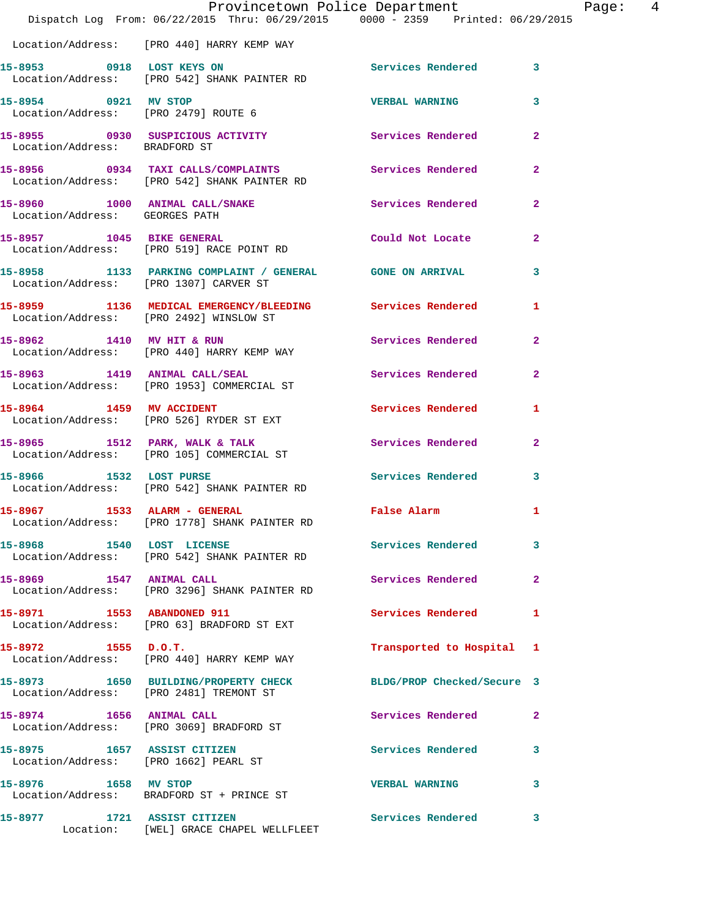|                                | Dispatch Log From: 06/22/2015 Thru: 06/29/2015 0000 - 2359 Printed: 06/29/2015                             | Provincetown Police Department | Page: 4        |
|--------------------------------|------------------------------------------------------------------------------------------------------------|--------------------------------|----------------|
|                                | Location/Address: [PRO 440] HARRY KEMP WAY                                                                 |                                |                |
|                                |                                                                                                            | Services Rendered 3            |                |
| 15-8954 0921 MV STOP           | Location/Address: [PRO 2479] ROUTE 6                                                                       | <b>VERBAL WARNING</b>          | $\mathbf{3}$   |
| Location/Address: BRADFORD ST  | 15-8955 0930 SUSPICIOUS ACTIVITY 6 Services Rendered 2                                                     |                                |                |
|                                | 15-8956 0934 TAXI CALLS/COMPLAINTS Services Rendered<br>Location/Address: [PRO 542] SHANK PAINTER RD       |                                | $\overline{2}$ |
| Location/Address: GEORGES PATH | 15-8960 1000 ANIMAL CALL/SNAKE Services Rendered 2                                                         |                                |                |
|                                | 15-8957 1045 BIKE GENERAL<br>Location/Address: [PRO 519] RACE POINT RD                                     | Could Not Locate               | $\mathbf{2}$   |
|                                | 15-8958 1133 PARKING COMPLAINT / GENERAL GONE ON ARRIVAL 3<br>Location/Address: [PRO 1307] CARVER ST       |                                |                |
|                                | 15-8959 1136 MEDICAL EMERGENCY/BLEEDING Services Rendered 1<br>Location/Address: [PRO 2492] WINSLOW ST     |                                |                |
|                                | 15-8962 1410 MV HIT & RUN<br>Location/Address: [PRO 440] HARRY KEMP WAY                                    | Services Rendered 2            |                |
|                                | 15-8963 1419 ANIMAL CALL/SEAL<br>Location/Address: [PRO 1953] COMMERCIAL ST                                | Services Rendered              | $\mathbf{2}$   |
|                                | 15-8964 1459 MV ACCIDENT<br>Location/Address: [PRO 526] RYDER ST EXT                                       | <b>Services Rendered</b>       | $\mathbf{1}$   |
|                                | 15-8965 1512 PARK, WALK & TALK 1988 Services Rendered<br>Location/Address: [PRO 105] COMMERCIAL ST         |                                | $\mathbf{2}$   |
|                                | 15-8966 1532 LOST PURSE<br>Location/Address: [PRO 542] SHANK PAINTER RD                                    | Services Rendered 3            |                |
|                                | 15-8967 1533 ALARM - GENERAL<br>Location/Address: [PRO 1778] SHANK PAINTER RD                              | False Alarm 1                  |                |
| 15-8968 1540 LOST LICENSE      | Location/Address: [PRO 542] SHANK PAINTER RD                                                               | Services Rendered 3            |                |
| 15-8969 1547 ANIMAL CALL       | Location/Address: [PRO 3296] SHANK PAINTER RD                                                              | Services Rendered              | $\mathbf{2}$   |
| 15-8971 1553 ABANDONED 911     | Location/Address: [PRO 63] BRADFORD ST EXT                                                                 | Services Rendered 1            |                |
| $15-8972$ 1555 D.O.T.          | Location/Address: [PRO 440] HARRY KEMP WAY                                                                 | Transported to Hospital 1      |                |
|                                | 15-8973 1650 BUILDING/PROPERTY CHECK BLDG/PROP Checked/Secure 3<br>Location/Address: [PRO 2481] TREMONT ST |                                |                |
|                                | 15-8974 1656 ANIMAL CALL<br>Location/Address: [PRO 3069] BRADFORD ST                                       | Services Rendered 2            |                |
| 15-8975 1657 ASSIST CITIZEN    | Location/Address: [PRO 1662] PEARL ST                                                                      | Services Rendered              | 3              |
| 15-8976 1658 MV STOP           | Location/Address: BRADFORD ST + PRINCE ST                                                                  | <b>VERBAL WARNING</b>          | 3              |
| 15-8977 1721 ASSIST CITIZEN    | Location: [WEL] GRACE CHAPEL WELLFLEET                                                                     | Services Rendered 3            |                |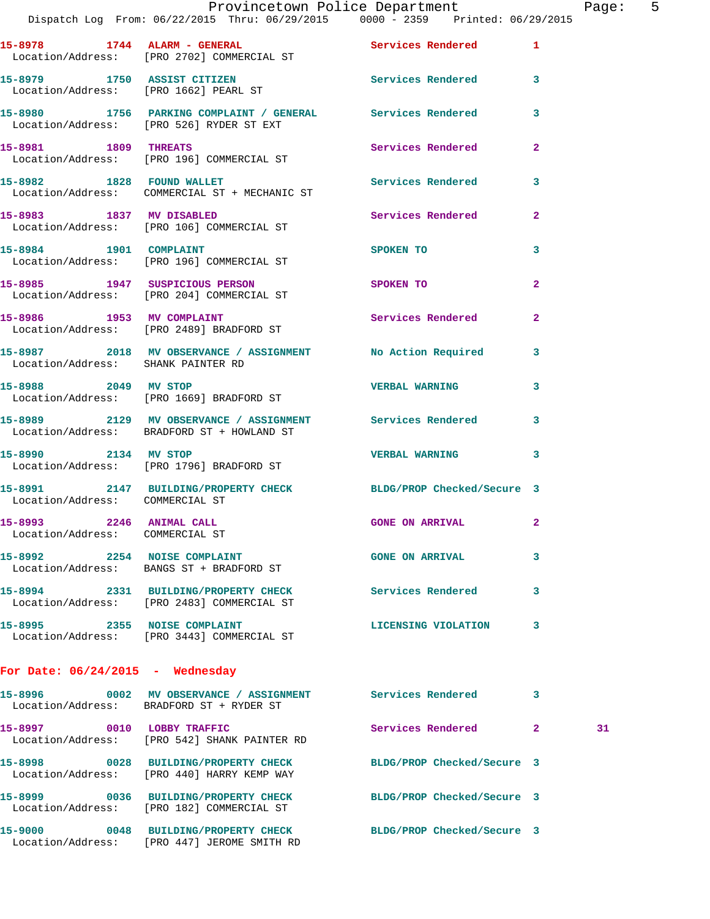|                                                             | Dispatch Log From: 06/22/2015 Thru: 06/29/2015 0000 - 2359 Printed: 06/29/2015                               | Provincetown Police Department The Page: 5 |              |    |  |
|-------------------------------------------------------------|--------------------------------------------------------------------------------------------------------------|--------------------------------------------|--------------|----|--|
|                                                             | 15-8978 1744 ALARM - GENERAL Services Rendered 1<br>Location/Address: [PRO 2702] COMMERCIAL ST               |                                            |              |    |  |
|                                                             | 15-8979 1750 ASSIST CITIZEN Services Rendered 3<br>Location/Address: [PRO 1662] PEARL ST                     |                                            |              |    |  |
|                                                             | 15-8980 1756 PARKING COMPLAINT / GENERAL Services Rendered 3<br>Location/Address: [PRO 526] RYDER ST EXT     |                                            |              |    |  |
| 15-8981 1809 THREATS                                        | Location/Address: [PRO 196] COMMERCIAL ST                                                                    | Services Rendered                          | $\mathbf{2}$ |    |  |
|                                                             | 15-8982 1828 FOUND WALLET<br>Location/Address: COMMERCIAL ST + MECHANIC ST                                   | Services Rendered 3                        |              |    |  |
|                                                             | 15-8983 1837 MV DISABLED<br>Location/Address: [PRO 106] COMMERCIAL ST                                        | Services Rendered                          | $\mathbf{2}$ |    |  |
|                                                             | 15-8984 1901 COMPLAINT<br>Location/Address: [PRO 196] COMMERCIAL ST                                          | <b>SPOKEN TO</b>                           | 3            |    |  |
|                                                             | 15-8985 1947 SUSPICIOUS PERSON<br>Location/Address: [PRO 204] COMMERCIAL ST                                  | <b>SPOKEN TO</b>                           | $\mathbf{2}$ |    |  |
|                                                             | 15-8986 1953 MV COMPLAINT<br>Location/Address: [PRO 2489] BRADFORD ST                                        | Services Rendered 2                        |              |    |  |
| Location/Address: SHANK PAINTER RD                          | 15-8987 2018 MV OBSERVANCE / ASSIGNMENT No Action Required 3                                                 |                                            |              |    |  |
| 15-8988 2049 MV STOP                                        | Location/Address: [PRO 1669] BRADFORD ST                                                                     | <b>VERBAL WARNING</b> 3                    |              |    |  |
|                                                             | 15-8989 2129 MV OBSERVANCE / ASSIGNMENT Services Rendered<br>Location/Address: BRADFORD ST + HOWLAND ST      |                                            | $\mathbf{3}$ |    |  |
| 15-8990 2134 MV STOP                                        | Location/Address: [PRO 1796] BRADFORD ST                                                                     | <b>VERBAL WARNING 3</b>                    |              |    |  |
| Location/Address: COMMERCIAL ST                             | 15-8991 2147 BUILDING/PROPERTY CHECK BLDG/PROP Checked/Secure 3                                              |                                            |              |    |  |
| 15-8993 2246 ANIMAL CALL<br>Location/Address: COMMERCIAL ST |                                                                                                              | <b>GONE ON ARRIVAL</b>                     |              |    |  |
|                                                             | 15-8992 2254 NOISE COMPLAINT<br>Location/Address: BANGS ST + BRADFORD ST                                     | <b>GONE ON ARRIVAL</b>                     | 3            |    |  |
|                                                             | 15-8994 2331 BUILDING/PROPERTY CHECK<br>Location/Address: [PRO 2483] COMMERCIAL ST                           | Services Rendered 3                        |              |    |  |
|                                                             | 15-8995 2355 NOISE COMPLAINT<br>Location/Address: [PRO 3443] COMMERCIAL ST                                   | <b>LICENSING VIOLATION</b>                 | 3            |    |  |
| For Date: $06/24/2015$ - Wednesday                          |                                                                                                              |                                            |              |    |  |
|                                                             | 15-8996 0002 MV OBSERVANCE / ASSIGNMENT Services Rendered<br>Location/Address: BRADFORD ST + RYDER ST        |                                            | $\mathbf{3}$ |    |  |
|                                                             | 15-8997 0010 LOBBY TRAFFIC<br>Location/Address: [PRO 542] SHANK PAINTER RD                                   | Services Rendered 2                        |              | 31 |  |
|                                                             | 15-8998 0028 BUILDING/PROPERTY CHECK<br>Location/Address: [PRO 440] HARRY KEMP WAY                           | BLDG/PROP Checked/Secure 3                 |              |    |  |
|                                                             | 15-8999 0036 BUILDING/PROPERTY CHECK BLDG/PROP Checked/Secure 3<br>Location/Address: [PRO 182] COMMERCIAL ST |                                            |              |    |  |
|                                                             | 15-9000 0048 BUILDING/PROPERTY CHECK BLDG/PROP Checked/Secure 3                                              |                                            |              |    |  |

Location/Address: [PRO 447] JEROME SMITH RD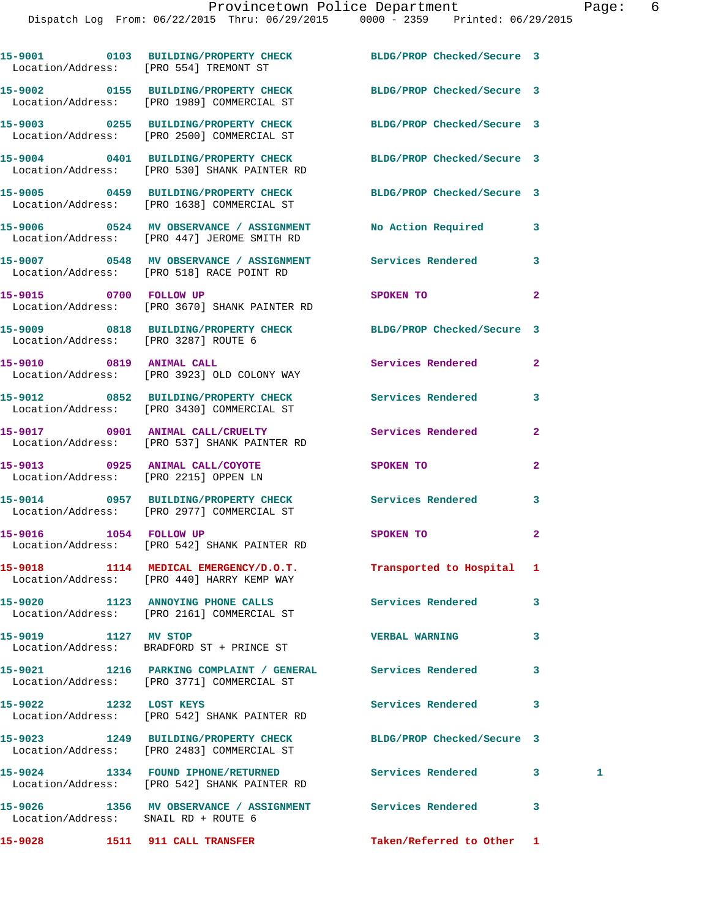|                                      | 15-9001 0103 BUILDING/PROPERTY CHECK BLDG/PROP Checked/Secure 3<br>Location/Address: [PRO 554] TREMONT ST       |                            |              |   |
|--------------------------------------|-----------------------------------------------------------------------------------------------------------------|----------------------------|--------------|---|
|                                      | 15-9002 0155 BUILDING/PROPERTY CHECK BLDG/PROP Checked/Secure 3<br>Location/Address: [PRO 1989] COMMERCIAL ST   |                            |              |   |
|                                      | 15-9003 0255 BUILDING/PROPERTY CHECK<br>Location/Address: [PRO 2500] COMMERCIAL ST                              | BLDG/PROP Checked/Secure 3 |              |   |
|                                      | 15-9004 0401 BUILDING/PROPERTY CHECK BLDG/PROP Checked/Secure 3<br>Location/Address: [PRO 530] SHANK PAINTER RD |                            |              |   |
|                                      | 15-9005 0459 BUILDING/PROPERTY CHECK BLDG/PROP Checked/Secure 3<br>Location/Address: [PRO 1638] COMMERCIAL ST   |                            |              |   |
|                                      | 15-9006 0524 MV OBSERVANCE / ASSIGNMENT No Action Required<br>Location/Address: [PRO 447] JEROME SMITH RD       |                            | 3            |   |
|                                      | 15-9007 0548 MV OBSERVANCE / ASSIGNMENT Services Rendered<br>Location/Address: [PRO 518] RACE POINT RD          |                            | 3            |   |
|                                      | 15-9015 0700 FOLLOW UP<br>Location/Address: [PRO 3670] SHANK PAINTER RD                                         | SPOKEN TO                  | $\mathbf{2}$ |   |
| Location/Address: [PRO 3287] ROUTE 6 | 15-9009 0818 BUILDING/PROPERTY CHECK BLDG/PROP Checked/Secure 3                                                 |                            |              |   |
|                                      | 15-9010 0819 ANIMAL CALL<br>Location/Address: [PRO 3923] OLD COLONY WAY                                         | Services Rendered          | $\mathbf{2}$ |   |
|                                      | 15-9012 0852 BUILDING/PROPERTY CHECK Services Rendered<br>Location/Address: [PRO 3430] COMMERCIAL ST            |                            | 3            |   |
|                                      | 15-9017 0901 ANIMAL CALL/CRUELTY<br>Location/Address: [PRO 537] SHANK PAINTER RD                                | Services Rendered          | $\mathbf{2}$ |   |
|                                      | 15-9013 0925 ANIMAL CALL/COYOTE SPOKEN TO<br>Location/Address: [PRO 2215] OPPEN LN                              |                            | $\mathbf{2}$ |   |
|                                      | 15-9014 0957 BUILDING/PROPERTY CHECK Services Rendered<br>Location/Address: [PRO 2977] COMMERCIAL ST            |                            | 3            |   |
|                                      | 15-9016 1054 FOLLOW UP<br>Location/Address: [PRO 542] SHANK PAINTER RD                                          | SPOKEN TO                  | $\mathbf{2}$ |   |
|                                      | 15-9018 1114 MEDICAL EMERGENCY/D.O.T.<br>Location/Address: [PRO 440] HARRY KEMP WAY                             | Transported to Hospital 1  |              |   |
|                                      | 15-9020 1123 ANNOYING PHONE CALLS<br>Location/Address: [PRO 2161] COMMERCIAL ST                                 | Services Rendered          | 3            |   |
| 15-9019 1127 MV STOP                 | Location/Address: BRADFORD ST + PRINCE ST                                                                       | <b>VERBAL WARNING</b>      | 3            |   |
|                                      | 15-9021 1216 PARKING COMPLAINT / GENERAL Services Rendered<br>Location/Address: [PRO 3771] COMMERCIAL ST        |                            | 3            |   |
| 15-9022 1232 LOST KEYS               | Location/Address: [PRO 542] SHANK PAINTER RD                                                                    | <b>Services Rendered</b>   | 3            |   |
|                                      | 15-9023 1249 BUILDING/PROPERTY CHECK<br>Location/Address: [PRO 2483] COMMERCIAL ST                              | BLDG/PROP Checked/Secure 3 |              |   |
|                                      | 15-9024 1334 FOUND IPHONE/RETURNED<br>Location/Address: [PRO 542] SHANK PAINTER RD                              | Services Rendered          | 3            | 1 |
| Location/Address: SNAIL RD + ROUTE 6 | 15-9026 1356 MV OBSERVANCE / ASSIGNMENT Services Rendered                                                       |                            | 3            |   |
| 15-9028                              | 1511 911 CALL TRANSFER                                                                                          | Taken/Referred to Other 1  |              |   |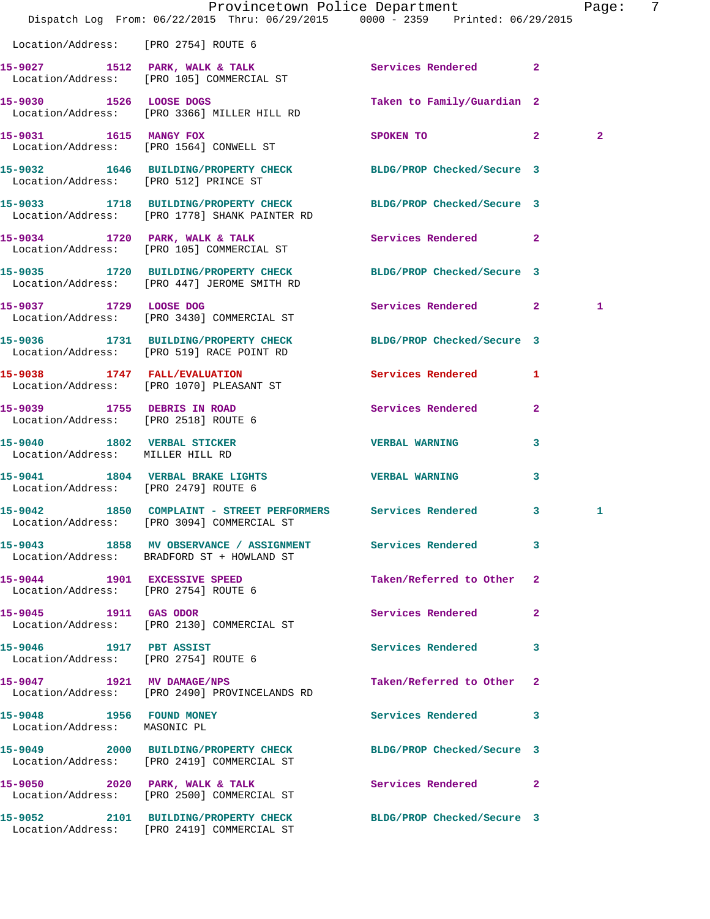|                                                                          | Dispatch Log From: 06/22/2015 Thru: 06/29/2015 0000 - 2359 Printed: 06/29/2015                                | Provincetown Police Department |              | Page: 7        |  |
|--------------------------------------------------------------------------|---------------------------------------------------------------------------------------------------------------|--------------------------------|--------------|----------------|--|
| Location/Address: [PRO 2754] ROUTE 6                                     |                                                                                                               |                                |              |                |  |
|                                                                          | 15-9027 1512 PARK, WALK & TALK<br>Location/Address: [PRO 105] COMMERCIAL ST                                   | Services Rendered 2            |              |                |  |
| 15-9030 1526 LOOSE DOGS                                                  | Location/Address: [PRO 3366] MILLER HILL RD                                                                   | Taken to Family/Guardian 2     |              |                |  |
| 15-9031 1615 MANGY FOX                                                   | Location/Address: [PRO 1564] CONWELL ST                                                                       | SPOKEN TO                      | $\mathbf{2}$ | $\overline{2}$ |  |
| Location/Address: [PRO 512] PRINCE ST                                    | 15-9032 1646 BUILDING/PROPERTY CHECK BLDG/PROP Checked/Secure 3                                               |                                |              |                |  |
|                                                                          | 15-9033 1718 BUILDING/PROPERTY CHECK<br>Location/Address: [PRO 1778] SHANK PAINTER RD                         | BLDG/PROP Checked/Secure 3     |              |                |  |
|                                                                          | 15-9034 1720 PARK, WALK & TALK<br>Location/Address: [PRO 105] COMMERCIAL ST                                   | Services Rendered 2            |              |                |  |
|                                                                          | 15-9035 1720 BUILDING/PROPERTY CHECK<br>Location/Address: [PRO 447] JEROME SMITH RD                           | BLDG/PROP Checked/Secure 3     |              |                |  |
|                                                                          | 15-9037 1729 LOOSE DOG<br>Location/Address: [PRO 3430] COMMERCIAL ST                                          | Services Rendered 2            |              | 1              |  |
|                                                                          | 15-9036 1731 BUILDING/PROPERTY CHECK<br>Location/Address: [PRO 519] RACE POINT RD                             | BLDG/PROP Checked/Secure 3     |              |                |  |
|                                                                          | 15-9038 1747 FALL/EVALUATION<br>Location/Address: [PRO 1070] PLEASANT ST                                      | Services Rendered              | $\mathbf{1}$ |                |  |
| 15-9039 1755 DEBRIS IN ROAD<br>Location/Address: [PRO 2518] ROUTE 6      |                                                                                                               | Services Rendered              | $\mathbf{2}$ |                |  |
| 15-9040 1802 VERBAL STICKER<br>Location/Address: MILLER HILL RD          |                                                                                                               | <b>VERBAL WARNING</b>          | 3            |                |  |
| 15-9041 1804 VERBAL BRAKE LIGHTS<br>Location/Address: [PRO 2479] ROUTE 6 |                                                                                                               | <b>VERBAL WARNING</b>          | 3            |                |  |
|                                                                          | 15-9042 1850 COMPLAINT - STREET PERFORMERS Services Rendered 3<br>Location/Address: [PRO 3094] COMMERCIAL ST  |                                |              | 1              |  |
|                                                                          | 15-9043 1858 MV OBSERVANCE / ASSIGNMENT Services Rendered 3<br>Location/Address: BRADFORD ST + HOWLAND ST     |                                |              |                |  |
| Location/Address: [PRO 2754] ROUTE 6                                     | 15-9044 1901 EXCESSIVE SPEED                                                                                  | Taken/Referred to Other 2      |              |                |  |
| 15-9045 1911 GAS ODOR                                                    | Location/Address: [PRO 2130] COMMERCIAL ST                                                                    | Services Rendered 2            |              |                |  |
| 15-9046 1917 PBT ASSIST                                                  | Location/Address: [PRO 2754] ROUTE 6                                                                          | Services Rendered              | 3            |                |  |
| 15-9047 1921 MV DAMAGE/NPS                                               | Location/Address: [PRO 2490] PROVINCELANDS RD                                                                 | Taken/Referred to Other 2      |              |                |  |
| Location/Address: MASONIC PL                                             | 15-9048 1956 FOUND MONEY                                                                                      | Services Rendered 3            |              |                |  |
|                                                                          | 15-9049 2000 BUILDING/PROPERTY CHECK BLDG/PROP Checked/Secure 3<br>Location/Address: [PRO 2419] COMMERCIAL ST |                                |              |                |  |
|                                                                          | 15-9050 2020 PARK, WALK & TALK<br>Location/Address: [PRO 2500] COMMERCIAL ST                                  | Services Rendered 2            |              |                |  |
|                                                                          | 15-9052 2101 BUILDING/PROPERTY CHECK<br>Location/Address: [PRO 2419] COMMERCIAL ST                            | BLDG/PROP Checked/Secure 3     |              |                |  |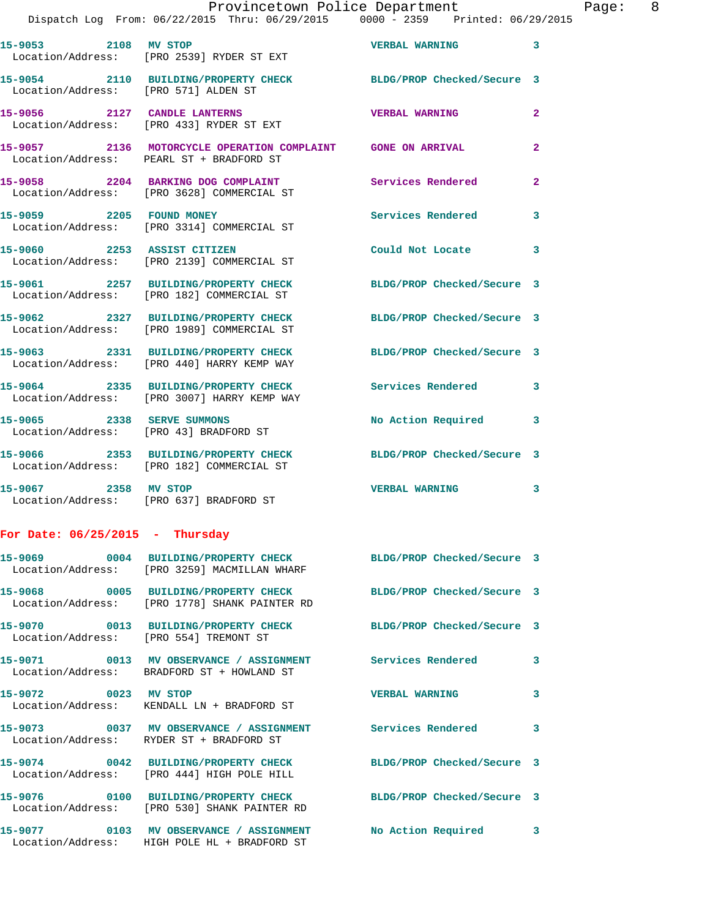|                                        | DISPACCH LOG FION. 00/22/2013 INIU. 00/29/2013                                                                | UUUU - 4339<br>FIIILEU VO/49/ |                            |
|----------------------------------------|---------------------------------------------------------------------------------------------------------------|-------------------------------|----------------------------|
| 15-9053 2108 MV STOP                   | Location/Address: [PRO 2539] RYDER ST EXT                                                                     | VERBAL WARNING 3              |                            |
| Location/Address: [PRO 571] ALDEN ST   | 15-9054 2110 BUILDING/PROPERTY CHECK BLDG/PROP Checked/Secure 3                                               |                               |                            |
|                                        | 15-9056 2127 CANDLE LANTERNS<br>Location/Address: [PRO 433] RYDER ST EXT                                      | <b>VERBAL WARNING</b>         | $\mathbf{2}$               |
|                                        | 15-9057 2136 MOTORCYCLE OPERATION COMPLAINT GONE ON ARRIVAL<br>Location/Address: PEARL ST + BRADFORD ST       |                               | $\mathbf{2}$               |
|                                        | 15-9058 2204 BARKING DOG COMPLAINT<br>Location/Address: [PRO 3628] COMMERCIAL ST                              | Services Rendered             | $\mathbf{2}$               |
|                                        | 15-9059 2205 FOUND MONEY<br>Location/Address: [PRO 3314] COMMERCIAL ST                                        | Services Rendered             | $\overline{\phantom{a}}$ 3 |
| 15-9060 2253 ASSIST CITIZEN            | Location/Address: [PRO 2139] COMMERCIAL ST                                                                    | Could Not Locate 3            |                            |
|                                        | 15-9061 2257 BUILDING/PROPERTY CHECK<br>Location/Address: [PRO 182] COMMERCIAL ST                             | BLDG/PROP Checked/Secure 3    |                            |
|                                        | 15-9062 2327 BUILDING/PROPERTY CHECK<br>Location/Address: [PRO 1989] COMMERCIAL ST                            | BLDG/PROP Checked/Secure 3    |                            |
|                                        | 15-9063 2331 BUILDING/PROPERTY CHECK<br>Location/Address: [PRO 440] HARRY KEMP WAY                            | BLDG/PROP Checked/Secure 3    |                            |
|                                        | 15-9064 2335 BUILDING/PROPERTY CHECK Services Rendered 3<br>Location/Address: [PRO 3007] HARRY KEMP WAY       |                               |                            |
| 15-9065 2338 SERVE SUMMONS             | Location/Address: [PRO 43] BRADFORD ST                                                                        | No Action Required 3          |                            |
|                                        | 15-9066 2353 BUILDING/PROPERTY CHECK<br>Location/Address: [PRO 182] COMMERCIAL ST                             | BLDG/PROP Checked/Secure 3    |                            |
| 15-9067 2358 MV STOP                   | Location/Address: [PRO 637] BRADFORD ST                                                                       | VERBAL WARNING 3              |                            |
| For Date: $06/25/2015$ - Thursday      |                                                                                                               |                               |                            |
|                                        | 15-9069 0004 BUILDING/PROPERTY CHECK<br>Location/Address: [PRO 3259] MACMILLAN WHARF                          | BLDG/PROP Checked/Secure 3    |                            |
|                                        | 15-9068 0005 BUILDING/PROPERTY CHECK<br>Location/Address: [PRO 1778] SHANK PAINTER RD                         | BLDG/PROP Checked/Secure 3    |                            |
| Location/Address: [PRO 554] TREMONT ST | 15-9070 0013 BUILDING/PROPERTY CHECK                                                                          | BLDG/PROP Checked/Secure 3    |                            |
|                                        | 15-9071 0013 MV OBSERVANCE / ASSIGNMENT<br>Location/Address: BRADFORD ST + HOWLAND ST                         | <b>Services Rendered</b>      | $\overline{\phantom{a}}$ 3 |
| 15-9072 0023 MV STOP                   | Location/Address: KENDALL LN + BRADFORD ST                                                                    | <b>VERBAL WARNING</b>         | 3                          |
|                                        | 15-9073 0037 MV OBSERVANCE / ASSIGNMENT Services Rendered<br>Location/Address: RYDER ST + BRADFORD ST         |                               | 3                          |
|                                        | 15-9074 0042 BUILDING/PROPERTY CHECK BLDG/PROP Checked/Secure 3<br>Location/Address: [PRO 444] HIGH POLE HILL |                               |                            |
|                                        | 15-9076 0100 BUILDING/PROPERTY CHECK<br>Location/Address: [PRO 530] SHANK PAINTER RD                          | BLDG/PROP Checked/Secure 3    |                            |
| 15-9077                                | 0103 MV OBSERVANCE / ASSIGNMENT No Action Required 3                                                          |                               |                            |

Location/Address: HIGH POLE HL + BRADFORD ST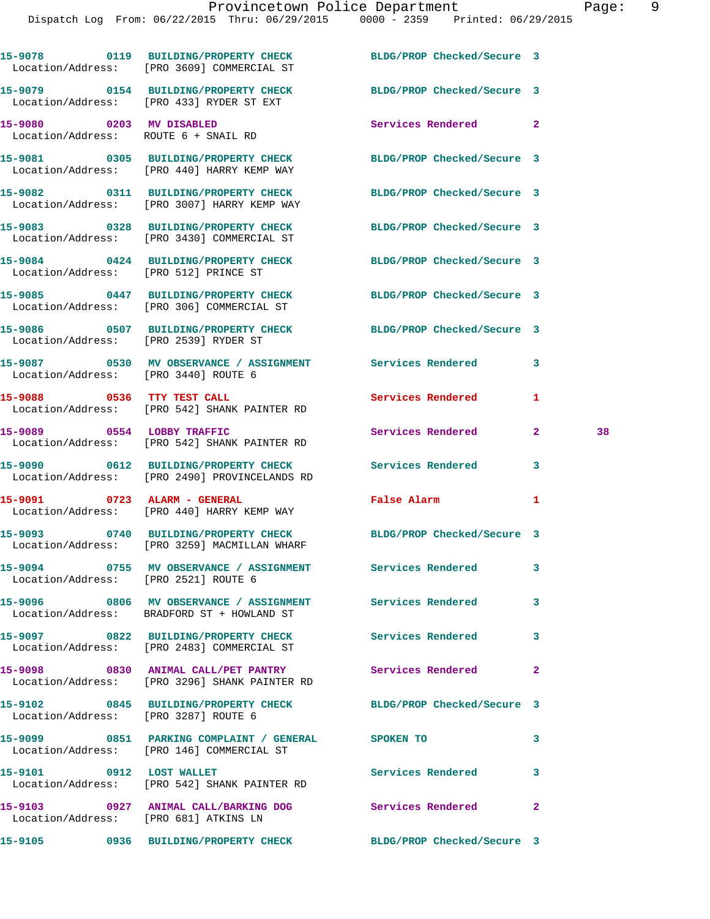|                          | 15-9078 0119 BUILDING/PROPERTY CHECK BLDG/PROP Checked/Secure 3<br>Location/Address: [PRO 3609] COMMERCIAL ST  |                               |              |    |
|--------------------------|----------------------------------------------------------------------------------------------------------------|-------------------------------|--------------|----|
|                          | 15-9079 0154 BUILDING/PROPERTY CHECK BLDG/PROP Checked/Secure 3<br>Location/Address: [PRO 433] RYDER ST EXT    |                               |              |    |
|                          | 15-9080 0203 MV DISABLED<br>Location/Address: ROUTE 6 + SNAIL RD                                               | Services Rendered 2           |              |    |
|                          | 15-9081 0305 BUILDING/PROPERTY CHECK BLDG/PROP Checked/Secure 3<br>Location/Address: [PRO 440] HARRY KEMP WAY  |                               |              |    |
|                          | 15-9082 0311 BUILDING/PROPERTY CHECK BLDG/PROP Checked/Secure 3<br>Location/Address: [PRO 3007] HARRY KEMP WAY |                               |              |    |
|                          | 15-9083 0328 BUILDING/PROPERTY CHECK<br>Location/Address: [PRO 3430] COMMERCIAL ST                             | BLDG/PROP Checked/Secure 3    |              |    |
|                          | 15-9084 0424 BUILDING/PROPERTY CHECK<br>Location/Address: [PRO 512] PRINCE ST                                  | BLDG/PROP Checked/Secure 3    |              |    |
|                          | 15-9085 0447 BUILDING/PROPERTY CHECK<br>Location/Address: [PRO 306] COMMERCIAL ST                              | BLDG/PROP Checked/Secure 3    |              |    |
|                          | 15-9086 0507 BUILDING/PROPERTY CHECK<br>Location/Address: [PRO 2539] RYDER ST                                  | BLDG/PROP Checked/Secure 3    |              |    |
|                          | 15-9087 0530 MV OBSERVANCE / ASSIGNMENT Services Rendered<br>Location/Address: [PRO 3440] ROUTE 6              |                               | 3            |    |
|                          | 15-9088 0536 TTY TEST CALL<br>Location/Address: [PRO 542] SHANK PAINTER RD                                     | <b>Services Rendered</b>      | 1            |    |
|                          | 15-9089 0554 LOBBY TRAFFIC<br>Location/Address: [PRO 542] SHANK PAINTER RD                                     | Services Rendered             | $\mathbf{2}$ | 38 |
|                          | 15-9090 0612 BUILDING/PROPERTY CHECK<br>Location/Address: [PRO 2490] PROVINCELANDS RD                          | Services Rendered             | 3            |    |
|                          | 15-9091 0723 ALARM - GENERAL<br>Location/Address: [PRO 440] HARRY KEMP WAY                                     | False Alarm <b>Example 20</b> | 1            |    |
|                          | 15-9093 0740 BUILDING/PROPERTY CHECK<br>Location/Address: [PRO 3259] MACMILLAN WHARF                           | BLDG/PROP Checked/Secure 3    |              |    |
|                          | 15-9094 0755 MV OBSERVANCE / ASSIGNMENT Services Rendered 3<br>Location/Address: [PRO 2521] ROUTE 6            |                               |              |    |
|                          | 15-9096 6806 MV OBSERVANCE / ASSIGNMENT Services Rendered<br>Location/Address: BRADFORD ST + HOWLAND ST        |                               | 3            |    |
|                          | 15-9097 0822 BUILDING/PROPERTY CHECK<br>Location/Address: [PRO 2483] COMMERCIAL ST                             | Services Rendered             | 3            |    |
|                          | 15-9098 0830 ANIMAL CALL/PET PANTRY<br>Location/Address: [PRO 3296] SHANK PAINTER RD                           | <b>Services Rendered</b>      | $\mathbf{2}$ |    |
|                          | 15-9102 0845 BUILDING/PROPERTY CHECK BLDG/PROP Checked/Secure 3<br>Location/Address: [PRO 3287] ROUTE 6        |                               |              |    |
|                          | 15-9099 0851 PARKING COMPLAINT / GENERAL SPOKEN TO<br>Location/Address: [PRO 146] COMMERCIAL ST                |                               | 3            |    |
| 15-9101 0912 LOST WALLET | Location/Address: [PRO 542] SHANK PAINTER RD                                                                   | Services Rendered             | 3            |    |
|                          | 15-9103 0927 ANIMAL CALL/BARKING DOG Services Rendered<br>Location/Address: [PRO 681] ATKINS LN                |                               | $\mathbf{2}$ |    |
|                          | 15-9105 0936 BUILDING/PROPERTY CHECK BLDG/PROP Checked/Secure 3                                                |                               |              |    |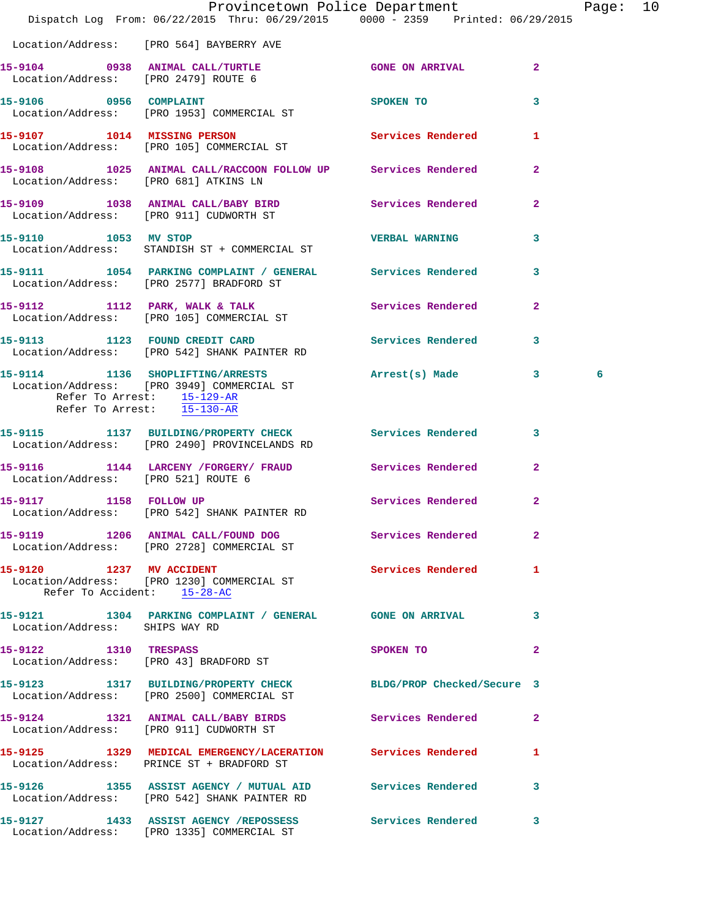|                                                                       | Provincetown Police Department<br>Dispatch Log From: 06/22/2015 Thru: 06/29/2015 0000 - 2359 Printed: 06/29/2015 |                       |                | Page: 10 |  |
|-----------------------------------------------------------------------|------------------------------------------------------------------------------------------------------------------|-----------------------|----------------|----------|--|
|                                                                       | Location/Address: [PRO 564] BAYBERRY AVE                                                                         |                       |                |          |  |
|                                                                       | 15-9104 0938 ANIMAL CALL/TURTLE GONE ON ARRIVAL 2<br>Location/Address: [PRO 2479] ROUTE 6                        |                       |                |          |  |
| 15-9106 0956 COMPLAINT                                                | Location/Address: [PRO 1953] COMMERCIAL ST                                                                       | SPOKEN TO 3           |                |          |  |
|                                                                       | 15-9107 1014 MISSING PERSON<br>Location/Address: [PRO 105] COMMERCIAL ST                                         | Services Rendered 1   |                |          |  |
| Location/Address: [PRO 681] ATKINS LN                                 | 15-9108 1025 ANIMAL CALL/RACCOON FOLLOW UP Services Rendered 2                                                   |                       |                |          |  |
|                                                                       | 15-9109 1038 ANIMAL CALL/BABY BIRD Services Rendered 2<br>Location/Address: [PRO 911] CUDWORTH ST                |                       |                |          |  |
| 15-9110 1053 MV STOP                                                  | Location/Address: STANDISH ST + COMMERCIAL ST                                                                    | <b>VERBAL WARNING</b> | $\mathbf{3}$   |          |  |
|                                                                       | 15-9111 1054 PARKING COMPLAINT / GENERAL Services Rendered 3<br>Location/Address: [PRO 2577] BRADFORD ST         |                       |                |          |  |
|                                                                       | 15-9112 1112 PARK, WALK & TALK 3 Services Rendered 2<br>Location/Address: [PRO 105] COMMERCIAL ST                |                       |                |          |  |
|                                                                       | 15-9113 1123 FOUND CREDIT CARD Services Rendered 3<br>Location/Address: [PRO 542] SHANK PAINTER RD               |                       |                |          |  |
| Refer To Arrest: 15-129-AR<br>Refer To Arrest: $\overline{15-130-AR}$ | 15-9114 1136 SHOPLIFTING/ARRESTS Arrest(s) Made 3<br>Location/Address: [PRO 3949] COMMERCIAL ST                  |                       |                | 6        |  |
|                                                                       | 15-9115 1137 BUILDING/PROPERTY CHECK Services Rendered 3<br>Location/Address: [PRO 2490] PROVINCELANDS RD        |                       |                |          |  |
| Location/Address: [PRO 521] ROUTE 6                                   | 15-9116 1144 LARCENY / FORGERY / FRAUD Services Rendered 2                                                       |                       |                |          |  |
| 15-9117 1158 FOLLOW UP                                                | Location/Address: [PRO 542] SHANK PAINTER RD                                                                     | Services Rendered 2   |                |          |  |
|                                                                       | 15-9119 1206 ANIMAL CALL/FOUND DOG Services Rendered<br>Location/Address: [PRO 2728] COMMERCIAL ST               |                       | $\overline{2}$ |          |  |
| 15-9120 1237 MV ACCIDENT<br>Refer To Accident: 15-28-AC               | Location/Address: [PRO 1230] COMMERCIAL ST                                                                       | Services Rendered 1   |                |          |  |
| Location/Address: SHIPS WAY RD                                        | 15-9121 1304 PARKING COMPLAINT / GENERAL GONE ON ARRIVAL                                                         |                       | 3              |          |  |
| 15-9122 1310 TRESPASS                                                 | Location/Address: [PRO 43] BRADFORD ST                                                                           | SPOKEN TO             | $\mathbf{2}$   |          |  |
|                                                                       | 15-9123 1317 BUILDING/PROPERTY CHECK BLDG/PROP Checked/Secure 3<br>Location/Address: [PRO 2500] COMMERCIAL ST    |                       |                |          |  |
|                                                                       | 15-9124 1321 ANIMAL CALL/BABY BIRDS Services Rendered<br>Location/Address: [PRO 911] CUDWORTH ST                 |                       | $\mathbf{2}$   |          |  |
|                                                                       | 15-9125 1329 MEDICAL EMERGENCY/LACERATION Services Rendered<br>Location/Address: PRINCE ST + BRADFORD ST         |                       | $\mathbf{1}$   |          |  |
|                                                                       | 15-9126 1355 ASSIST AGENCY / MUTUAL AID Services Rendered<br>Location/Address: [PRO 542] SHANK PAINTER RD        |                       | 3              |          |  |
|                                                                       | 15-9127 1433 ASSIST AGENCY / REPOSSESS Services Rendered 3                                                       |                       |                |          |  |

Location/Address: [PRO 1335] COMMERCIAL ST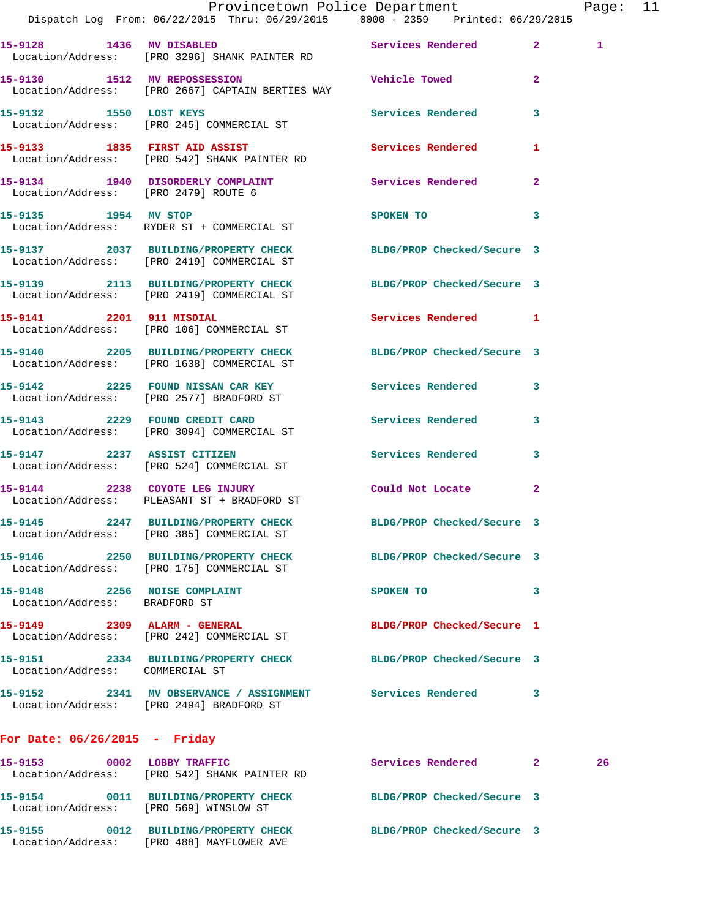|                                                               | Dispatch Log From: 06/22/2015 Thru: 06/29/2015 0000 - 2359 Printed: 06/29/2015                                | Provincetown Police Department |              | Page: 11     |  |
|---------------------------------------------------------------|---------------------------------------------------------------------------------------------------------------|--------------------------------|--------------|--------------|--|
|                                                               | 15-9128 1436 MV DISABLED Services Rendered 2<br>Location/Address: [PRO 3296] SHANK PAINTER RD                 |                                |              | $\mathbf{1}$ |  |
|                                                               | 15-9130 1512 MV REPOSSESSION CONTROL Vehicle Towed 2<br>Location/Address: [PRO 2667] CAPTAIN BERTIES WAY      |                                |              |              |  |
|                                                               | 15-9132 1550 LOST KEYS<br>Location/Address: [PRO 245] COMMERCIAL ST                                           | Services Rendered 3            |              |              |  |
|                                                               | 15-9133 1835 FIRST AID ASSIST<br>Location/Address: [PRO 542] SHANK PAINTER RD                                 | Services Rendered              | $\mathbf{1}$ |              |  |
|                                                               | 15-9134 1940 DISORDERLY COMPLAINT Services Rendered 2<br>Location/Address: [PRO 2479] ROUTE 6                 |                                |              |              |  |
|                                                               | 15-9135 1954 MV STOP<br>Location/Address: RYDER ST + COMMERCIAL ST                                            | SPOKEN TO                      | 3            |              |  |
|                                                               | 15-9137 2037 BUILDING/PROPERTY CHECK BLDG/PROP Checked/Secure 3<br>Location/Address: [PRO 2419] COMMERCIAL ST |                                |              |              |  |
|                                                               | 15-9139 2113 BUILDING/PROPERTY CHECK BLDG/PROP Checked/Secure 3<br>Location/Address: [PRO 2419] COMMERCIAL ST |                                |              |              |  |
|                                                               | 15-9141 2201 911 MISDIAL<br>Location/Address: [PRO 106] COMMERCIAL ST                                         | Services Rendered 1            |              |              |  |
|                                                               | 15-9140 2205 BUILDING/PROPERTY CHECK BLDG/PROP Checked/Secure 3<br>Location/Address: [PRO 1638] COMMERCIAL ST |                                |              |              |  |
|                                                               | 15-9142 2225 FOUND NISSAN CAR KEY Services Rendered 3<br>Location/Address: [PRO 2577] BRADFORD ST             |                                |              |              |  |
|                                                               | 15-9143 2229 FOUND CREDIT CARD Services Rendered 3<br>Location/Address: [PRO 3094] COMMERCIAL ST              |                                |              |              |  |
|                                                               | 15-9147 2237 ASSIST CITIZEN<br>Location/Address: [PRO 524] COMMERCIAL ST                                      | Services Rendered 3            |              |              |  |
|                                                               | 15-9144 2238 COYOTE LEG INJURY<br>Location/Address: PLEASANT ST + BRADFORD ST                                 | Could Not Locate 2             |              |              |  |
|                                                               | 15-9145 2247 BUILDING/PROPERTY CHECK<br>Location/Address: [PRO 385] COMMERCIAL ST                             | BLDG/PROP Checked/Secure 3     |              |              |  |
|                                                               | 15-9146 2250 BUILDING/PROPERTY CHECK BLDG/PROP Checked/Secure 3<br>Location/Address: [PRO 175] COMMERCIAL ST  |                                |              |              |  |
| 15-9148 2256 NOISE COMPLAINT<br>Location/Address: BRADFORD ST |                                                                                                               | SPOKEN TO                      | 3            |              |  |
|                                                               | 15-9149 2309 ALARM - GENERAL<br>Location/Address: [PRO 242] COMMERCIAL ST                                     | BLDG/PROP Checked/Secure 1     |              |              |  |
| Location/Address: COMMERCIAL ST                               | 15-9151 2334 BUILDING/PROPERTY CHECK BLDG/PROP Checked/Secure 3                                               |                                |              |              |  |
|                                                               | 15-9152 2341 MV OBSERVANCE / ASSIGNMENT Services Rendered 3<br>Location/Address: [PRO 2494] BRADFORD ST       |                                |              |              |  |
| For Date: $06/26/2015$ - Friday                               |                                                                                                               |                                |              |              |  |
|                                                               | 15-9153 0002 LOBBY TRAFFIC<br>Location/Address: [PRO 542] SHANK PAINTER RD                                    | Services Rendered 2            |              | 26           |  |
| Location/Address: [PRO 569] WINSLOW ST                        | 15-9154 0011 BUILDING/PROPERTY CHECK BLDG/PROP Checked/Secure 3                                               |                                |              |              |  |

**15-9155 0012 BUILDING/PROPERTY CHECK BLDG/PROP Checked/Secure 3**  Location/Address: [PRO 488] MAYFLOWER AVE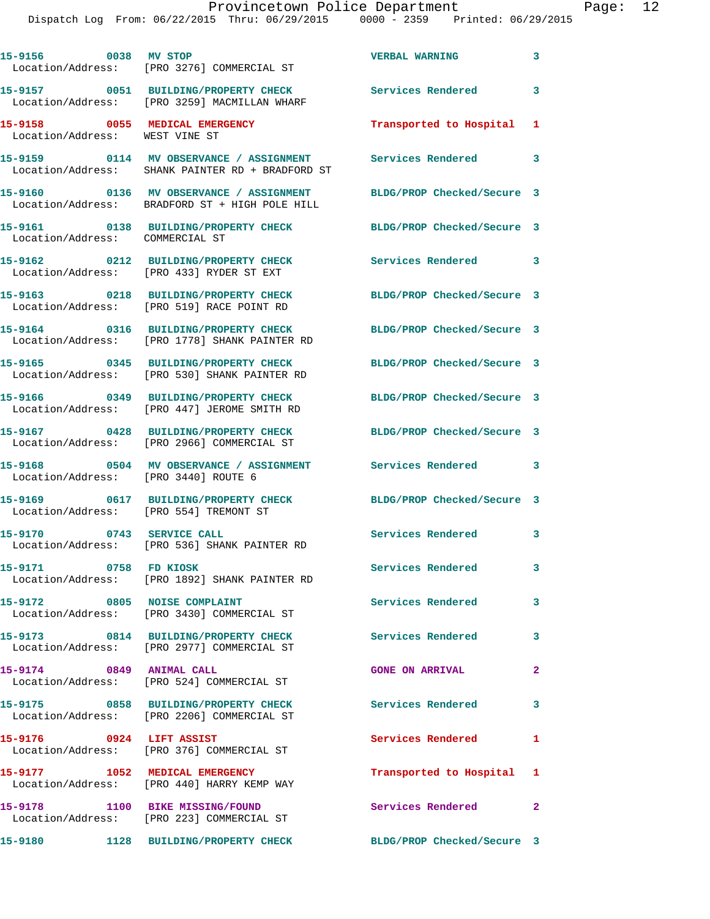|                                                                  | 15-9156 0038 MV STOP<br>Location/Address: [PRO 3276] COMMERCIAL ST                                   | <b>VERBAL WARNING</b>      | 3                       |
|------------------------------------------------------------------|------------------------------------------------------------------------------------------------------|----------------------------|-------------------------|
|                                                                  | 15-9157 0051 BUILDING/PROPERTY CHECK<br>Location/Address: [PRO 3259] MACMILLAN WHARF                 | <b>Services Rendered</b>   | $\mathbf{3}$            |
| 15-9158 0055 MEDICAL EMERGENCY<br>Location/Address: WEST VINE ST |                                                                                                      | Transported to Hospital    | 1                       |
|                                                                  | 15-9159 0114 MV OBSERVANCE / ASSIGNMENT<br>Location/Address: SHANK PAINTER RD + BRADFORD ST          | Services Rendered 3        |                         |
|                                                                  | 15-9160 0136 MV OBSERVANCE / ASSIGNMENT<br>Location/Address: BRADFORD ST + HIGH POLE HILL            | BLDG/PROP Checked/Secure 3 |                         |
| Location/Address: COMMERCIAL ST                                  | 15-9161 0138 BUILDING/PROPERTY CHECK                                                                 | BLDG/PROP Checked/Secure 3 |                         |
|                                                                  | 15-9162 0212 BUILDING/PROPERTY CHECK<br>Location/Address: [PRO 433] RYDER ST EXT                     | Services Rendered 3        |                         |
|                                                                  | 15-9163 0218 BUILDING/PROPERTY CHECK<br>Location/Address: [PRO 519] RACE POINT RD                    | BLDG/PROP Checked/Secure 3 |                         |
|                                                                  | 15-9164 0316 BUILDING/PROPERTY CHECK<br>Location/Address: [PRO 1778] SHANK PAINTER RD                | BLDG/PROP Checked/Secure 3 |                         |
|                                                                  | 15-9165 0345 BUILDING/PROPERTY CHECK<br>Location/Address: [PRO 530] SHANK PAINTER RD                 | BLDG/PROP Checked/Secure 3 |                         |
|                                                                  | 15-9166 0349 BUILDING/PROPERTY CHECK<br>Location/Address: [PRO 447] JEROME SMITH RD                  | BLDG/PROP Checked/Secure 3 |                         |
|                                                                  | 15-9167 0428 BUILDING/PROPERTY CHECK<br>Location/Address: [PRO 2966] COMMERCIAL ST                   | BLDG/PROP Checked/Secure 3 |                         |
| Location/Address: [PRO 3440] ROUTE 6                             | 15-9168 0504 MV OBSERVANCE / ASSIGNMENT Services Rendered 3                                          |                            |                         |
| Location/Address: [PRO 554] TREMONT ST                           | 15-9169 0617 BUILDING/PROPERTY CHECK                                                                 | BLDG/PROP Checked/Secure 3 |                         |
| 15-9170 0743 SERVICE CALL                                        | Location/Address: [PRO 536] SHANK PAINTER RD                                                         | Services Rendered 3        |                         |
| 15-9171 0758 FD KIOSK                                            | Location/Address: [PRO 1892] SHANK PAINTER RD                                                        | Services Rendered          | 3                       |
| 15-9172 0805 NOISE COMPLAINT                                     | Location/Address: [PRO 3430] COMMERCIAL ST                                                           | <b>Services Rendered</b>   | $\mathbf{3}$            |
|                                                                  | 15-9173 0814 BUILDING/PROPERTY CHECK Services Rendered<br>Location/Address: [PRO 2977] COMMERCIAL ST |                            | $\mathbf{3}$            |
|                                                                  | 15-9174 0849 ANIMAL CALL<br>Location/Address: [PRO 524] COMMERCIAL ST                                | <b>GONE ON ARRIVAL</b>     | $\mathbf{2}$            |
|                                                                  | 15-9175 0858 BUILDING/PROPERTY CHECK<br>Location/Address: [PRO 2206] COMMERCIAL ST                   | Services Rendered          | $\overline{\mathbf{3}}$ |
| 15-9176 0924 LIFT ASSIST                                         | Location/Address: [PRO 376] COMMERCIAL ST                                                            | Services Rendered          | 1                       |
|                                                                  | 15-9177 1052 MEDICAL EMERGENCY<br>Location/Address: [PRO 440] HARRY KEMP WAY                         | Transported to Hospital 1  |                         |
|                                                                  | 15-9178 1100 BIKE MISSING/FOUND<br>Location/Address: [PRO 223] COMMERCIAL ST                         | Services Rendered 2        |                         |
|                                                                  | 15-9180 1128 BUILDING/PROPERTY CHECK                                                                 | BLDG/PROP Checked/Secure 3 |                         |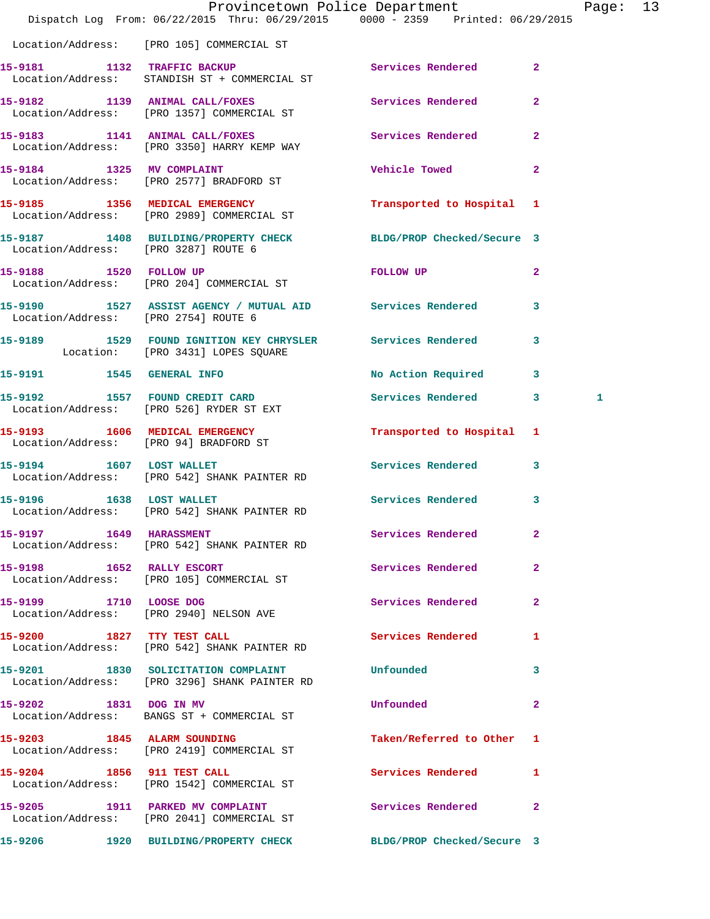|                                      | Provincetown Police Department<br>Dispatch Log From: 06/22/2015 Thru: 06/29/2015 0000 - 2359 Printed: 06/29/2015 |                             |                | Page: 13 |  |
|--------------------------------------|------------------------------------------------------------------------------------------------------------------|-----------------------------|----------------|----------|--|
|                                      | Location/Address: [PRO 105] COMMERCIAL ST                                                                        |                             |                |          |  |
|                                      | 15-9181 1132 TRAFFIC BACKUP<br>Location/Address: STANDISH ST + COMMERCIAL ST                                     | <b>Services Rendered</b> 2  |                |          |  |
|                                      | 15-9182 1139 ANIMAL CALL/FOXES Services Rendered 2<br>Location/Address: [PRO 1357] COMMERCIAL ST                 |                             |                |          |  |
|                                      | 15-9183 1141 ANIMAL CALL/FOXES<br>Location/Address: [PRO 3350] HARRY KEMP WAY                                    | Services Rendered 2         |                |          |  |
|                                      | 15-9184 1325 MV COMPLAINT<br>Location/Address: [PRO 2577] BRADFORD ST                                            | Vehicle Towed <b>Search</b> | $\mathbf{2}$   |          |  |
|                                      | 15-9185 1356 MEDICAL EMERGENCY<br>Location/Address: [PRO 2989] COMMERCIAL ST                                     | Transported to Hospital 1   |                |          |  |
| Location/Address: [PRO 3287] ROUTE 6 | 15-9187 1408 BUILDING/PROPERTY CHECK BLDG/PROP Checked/Secure 3                                                  |                             |                |          |  |
| 15-9188 1520 FOLLOW UP               | Location/Address: [PRO 204] COMMERCIAL ST                                                                        | FOLLOW UP                   | $\overline{2}$ |          |  |
| Location/Address: [PRO 2754] ROUTE 6 | 15-9190 1527 ASSIST AGENCY / MUTUAL AID Services Rendered 3                                                      |                             |                |          |  |
|                                      | 15-9189 1529 FOUND IGNITION KEY CHRYSLER Services Rendered 3<br>Location: [PRO 3431] LOPES SQUARE                |                             |                |          |  |
|                                      | 15-9191 1545 GENERAL INFO                                                                                        | No Action Required 3        |                |          |  |
|                                      | 15-9192 1557 FOUND CREDIT CARD<br>Location/Address: [PRO 526] RYDER ST EXT                                       | Services Rendered 3         |                | 1        |  |
|                                      | 15-9193 1606 MEDICAL EMERGENCY<br>Location/Address: [PRO 94] BRADFORD ST                                         | Transported to Hospital 1   |                |          |  |
| 15-9194 1607 LOST WALLET             | Location/Address: [PRO 542] SHANK PAINTER RD                                                                     | Services Rendered 3         |                |          |  |
|                                      | 15-9196 1638 LOST WALLET<br>Location/Address: [PRO 542] SHANK PAINTER RD                                         | <b>Services Rendered</b>    | $\mathbf{3}$   |          |  |
| 15-9197 1649 HARASSMENT              | Location/Address: [PRO 542] SHANK PAINTER RD                                                                     | Services Rendered           | $\mathbf{2}$   |          |  |
|                                      | 15-9198 1652 RALLY ESCORT<br>Location/Address: [PRO 105] COMMERCIAL ST                                           | Services Rendered           | $\mathbf{2}$   |          |  |
| 15-9199 1710 LOOSE DOG               | Location/Address: [PRO 2940] NELSON AVE                                                                          | Services Rendered           | $\mathbf{2}$   |          |  |
|                                      | 15-9200 1827 TTY TEST CALL<br>Location/Address: [PRO 542] SHANK PAINTER RD                                       | Services Rendered 1         |                |          |  |
|                                      | 15-9201 1830 SOLICITATION COMPLAINT<br>Location/Address: [PRO 3296] SHANK PAINTER RD                             | Unfounded                   | $\mathbf{3}$   |          |  |
|                                      | 15-9202 1831 DOG IN MV<br>Location/Address: BANGS ST + COMMERCIAL ST                                             | Unfounded                   | $\mathbf{2}$   |          |  |
| 15-9203 1845 ALARM SOUNDING          | Location/Address: [PRO 2419] COMMERCIAL ST                                                                       | Taken/Referred to Other 1   |                |          |  |
| 15-9204 1856 911 TEST CALL           | Location/Address: [PRO 1542] COMMERCIAL ST                                                                       | Services Rendered           | $\mathbf{1}$   |          |  |
|                                      | 15-9205 1911 PARKED MV COMPLAINT<br>Location/Address: [PRO 2041] COMMERCIAL ST                                   | Services Rendered 2         |                |          |  |
| 15-9206                              | 1920 BUILDING/PROPERTY CHECK                                                                                     | BLDG/PROP Checked/Secure 3  |                |          |  |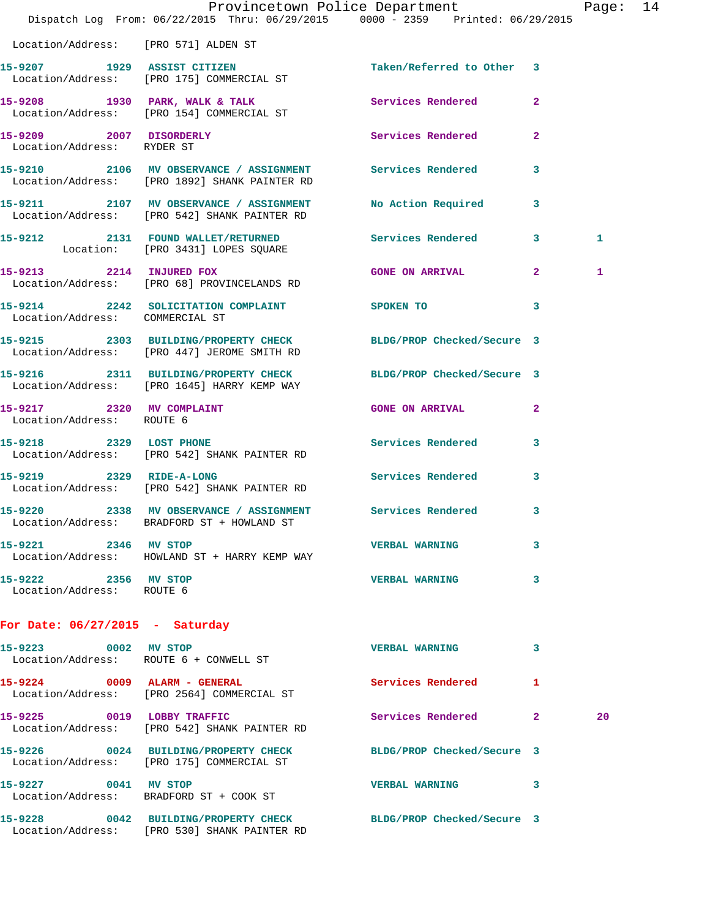|                                                        | Dispatch Log From: 06/22/2015 Thru: 06/29/2015 0000 - 2359 Printed: 06/29/2015                                  | Provincetown Police Department |              | Page: 14 |  |
|--------------------------------------------------------|-----------------------------------------------------------------------------------------------------------------|--------------------------------|--------------|----------|--|
| Location/Address: [PRO 571] ALDEN ST                   |                                                                                                                 |                                |              |          |  |
|                                                        | 15-9207 1929 ASSIST CITIZEN<br>Location/Address: [PRO 175] COMMERCIAL ST                                        | Taken/Referred to Other 3      |              |          |  |
|                                                        | 15-9208 1930 PARK, WALK & TALK 1988 Services Rendered 2<br>Location/Address: [PRO 154] COMMERCIAL ST            |                                |              |          |  |
| 15-9209 2007 DISORDERLY<br>Location/Address: RYDER ST  |                                                                                                                 | Services Rendered 2            |              |          |  |
|                                                        | 15-9210 2106 MV OBSERVANCE / ASSIGNMENT Services Rendered<br>Location/Address: [PRO 1892] SHANK PAINTER RD      |                                | 3            |          |  |
|                                                        | 15-9211 2107 MV OBSERVANCE / ASSIGNMENT<br>Location/Address: [PRO 542] SHANK PAINTER RD                         | No Action Required 3           |              |          |  |
|                                                        | 15-9212 2131 FOUND WALLET/RETURNED Services Rendered 3<br>Location: [PRO 3431] LOPES SQUARE                     |                                |              | 1        |  |
| 15-9213 2214 INJURED FOX                               | Location/Address: [PRO 68] PROVINCELANDS RD                                                                     | GONE ON ARRIVAL 2              |              | 1        |  |
| Location/Address: COMMERCIAL ST                        | 15-9214 2242 SOLICITATION COMPLAINT SPOKEN TO                                                                   |                                | 3            |          |  |
|                                                        | 15-9215 2303 BUILDING/PROPERTY CHECK BLDG/PROP Checked/Secure 3<br>Location/Address: [PRO 447] JEROME SMITH RD  |                                |              |          |  |
|                                                        | 15-9216 2311 BUILDING/PROPERTY CHECK BLDG/PROP Checked/Secure 3<br>Location/Address: [PRO 1645] HARRY KEMP WAY  |                                |              |          |  |
| 15-9217 2320 MV COMPLAINT<br>Location/Address: ROUTE 6 |                                                                                                                 | <b>GONE ON ARRIVAL</b>         | $\mathbf{2}$ |          |  |
|                                                        | 15-9218 2329 LOST PHONE<br>Location/Address: [PRO 542] SHANK PAINTER RD                                         | Services Rendered 3            |              |          |  |
|                                                        | 15-9219 2329 RIDE-A-LONG<br>Location/Address: [PRO 542] SHANK PAINTER RD                                        | <b>Services Rendered</b>       | 3            |          |  |
|                                                        | 15-9220 2338 MV OBSERVANCE / ASSIGNMENT Services Rendered 3<br>Location/Address: BRADFORD ST + HOWLAND ST       |                                |              |          |  |
| 15-9221 2346 MV STOP                                   | Location/Address: HOWLAND ST + HARRY KEMP WAY                                                                   | <b>VERBAL WARNING</b>          | 3            |          |  |
| 15-9222 2356 MV STOP<br>Location/Address: ROUTE 6      |                                                                                                                 | <b>VERBAL WARNING</b>          | 3            |          |  |
| For Date: $06/27/2015$ - Saturday                      |                                                                                                                 |                                |              |          |  |
| 15-9223 0002 MV STOP                                   | Location/Address: ROUTE 6 + CONWELL ST                                                                          | <b>VERBAL WARNING</b>          | 3            |          |  |
|                                                        | 15-9224 0009 ALARM - GENERAL<br>Location/Address: [PRO 2564] COMMERCIAL ST                                      | Services Rendered              | $\mathbf{1}$ |          |  |
|                                                        | 15-9225 0019 LOBBY TRAFFIC<br>Location/Address: [PRO 542] SHANK PAINTER RD                                      | Services Rendered 2            |              | 20       |  |
|                                                        | 15-9226 0024 BUILDING/PROPERTY CHECK BLDG/PROP Checked/Secure 3<br>Location/Address: [PRO 175] COMMERCIAL ST    |                                |              |          |  |
| 15-9227 0041 MV STOP                                   | Location/Address: BRADFORD ST + COOK ST                                                                         | VERBAL WARNING 3               |              |          |  |
|                                                        | 15-9228 0042 BUILDING/PROPERTY CHECK BLDG/PROP Checked/Secure 3<br>Location/Address: [PRO 530] SHANK PAINTER RD |                                |              |          |  |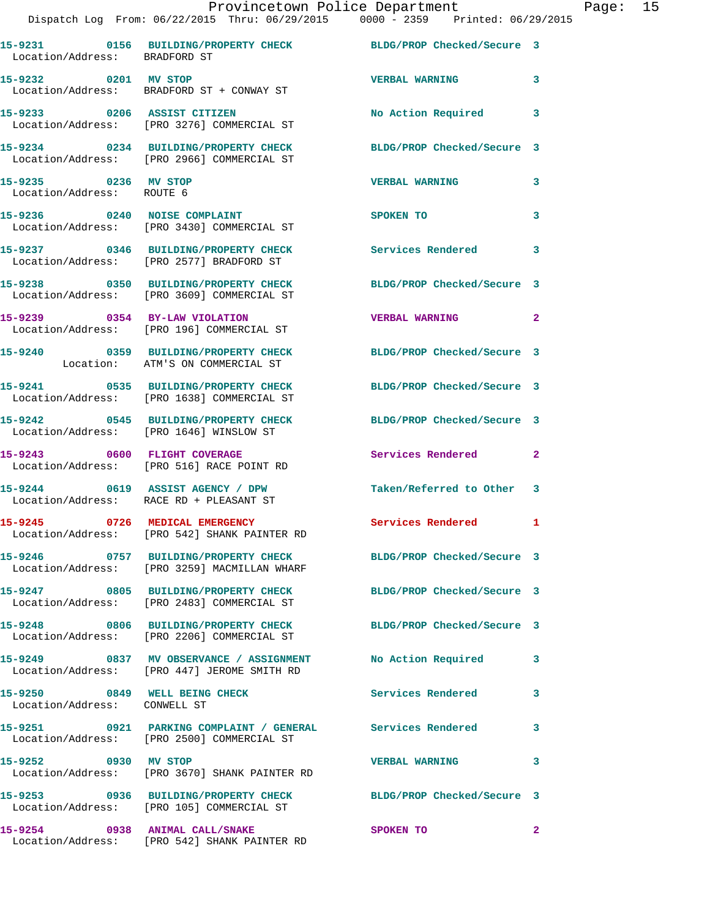|                                                   | Provincetown Police Department<br>Dispatch Log From: 06/22/2015 Thru: 06/29/2015 0000 - 2359 Printed: 06/29/2015 |                           |              | Page: 15 |  |
|---------------------------------------------------|------------------------------------------------------------------------------------------------------------------|---------------------------|--------------|----------|--|
| Location/Address: BRADFORD ST                     | 15-9231 0156 BUILDING/PROPERTY CHECK BLDG/PROP Checked/Secure 3                                                  |                           |              |          |  |
|                                                   | 15-9232 0201 MV STOP<br>Location/Address: BRADFORD ST + CONWAY ST                                                | VERBAL WARNING 3          |              |          |  |
|                                                   | 15-9233 0206 ASSIST CITIZEN<br>Location/Address: [PRO 3276] COMMERCIAL ST                                        | No Action Required 3      |              |          |  |
|                                                   | 15-9234 0234 BUILDING/PROPERTY CHECK BLDG/PROP Checked/Secure 3<br>Location/Address: [PRO 2966] COMMERCIAL ST    |                           |              |          |  |
| 15-9235 0236 MV STOP<br>Location/Address: ROUTE 6 |                                                                                                                  | <b>VERBAL WARNING</b>     | 3            |          |  |
|                                                   | 15-9236 0240 NOISE COMPLAINT<br>Location/Address: [PRO 3430] COMMERCIAL ST                                       | SPOKEN TO                 | $\mathbf{3}$ |          |  |
|                                                   | 15-9237 0346 BUILDING/PROPERTY CHECK Services Rendered 3<br>Location/Address: [PRO 2577] BRADFORD ST             |                           |              |          |  |
|                                                   | 15-9238 0350 BUILDING/PROPERTY CHECK BLDG/PROP Checked/Secure 3<br>Location/Address: [PRO 3609] COMMERCIAL ST    |                           |              |          |  |
|                                                   | 15-9239      0354   BY-LAW VIOLATION<br>Location/Address:   [PRO 196] COMMERCIAL ST                              | VERBAL WARNING 2          |              |          |  |
|                                                   | 15-9240 0359 BUILDING/PROPERTY CHECK BLDG/PROP Checked/Secure 3<br>Location: ATM'S ON COMMERCIAL ST              |                           |              |          |  |
|                                                   | 15-9241 0535 BUILDING/PROPERTY CHECK BLDG/PROP Checked/Secure 3<br>Location/Address: [PRO 1638] COMMERCIAL ST    |                           |              |          |  |
|                                                   | 15-9242 0545 BUILDING/PROPERTY CHECK BLDG/PROP Checked/Secure 3<br>Location/Address: [PRO 1646] WINSLOW ST       |                           |              |          |  |
|                                                   | 15-9243 0600 FLIGHT COVERAGE<br>Location/Address: [PRO 516] RACE POINT RD                                        | Services Rendered 2       |              |          |  |
|                                                   | 15-9244 0619 ASSIST AGENCY / DPW<br>Location/Address: RACE RD + PLEASANT ST                                      | Taken/Referred to Other 3 |              |          |  |
|                                                   | 15-9245 0726 MEDICAL EMERGENCY<br>Location/Address: [PRO 542] SHANK PAINTER RD                                   | Services Rendered 1       |              |          |  |
|                                                   | 15-9246 0757 BUILDING/PROPERTY CHECK BLDG/PROP Checked/Secure 3<br>Location/Address: [PRO 3259] MACMILLAN WHARF  |                           |              |          |  |
|                                                   | 15-9247 0805 BUILDING/PROPERTY CHECK BLDG/PROP Checked/Secure 3<br>Location/Address: [PRO 2483] COMMERCIAL ST    |                           |              |          |  |
|                                                   | 15-9248 0806 BUILDING/PROPERTY CHECK BLDG/PROP Checked/Secure 3<br>Location/Address: [PRO 2206] COMMERCIAL ST    |                           |              |          |  |
|                                                   | 15-9249 0837 MV OBSERVANCE / ASSIGNMENT<br>Location/Address: [PRO 447] JEROME SMITH RD                           | No Action Required 3      |              |          |  |
| Location/Address: CONWELL ST                      | 15-9250 0849 WELL BEING CHECK Services Rendered                                                                  |                           | 3            |          |  |
|                                                   | Location/Address: [PRO 2500] COMMERCIAL ST                                                                       |                           | $\mathbf{3}$ |          |  |
| 15-9252 0930 MV STOP                              | Location/Address: [PRO 3670] SHANK PAINTER RD                                                                    | <b>VERBAL WARNING</b>     | 3            |          |  |
|                                                   | 15-9253 0936 BUILDING/PROPERTY CHECK BLDG/PROP Checked/Secure 3<br>Location/Address: [PRO 105] COMMERCIAL ST     |                           |              |          |  |
| 15-9254 0938 ANIMAL CALL/SNAKE                    |                                                                                                                  | <b>SPOKEN TO</b>          | $\mathbf{2}$ |          |  |

Location/Address: [PRO 542] SHANK PAINTER RD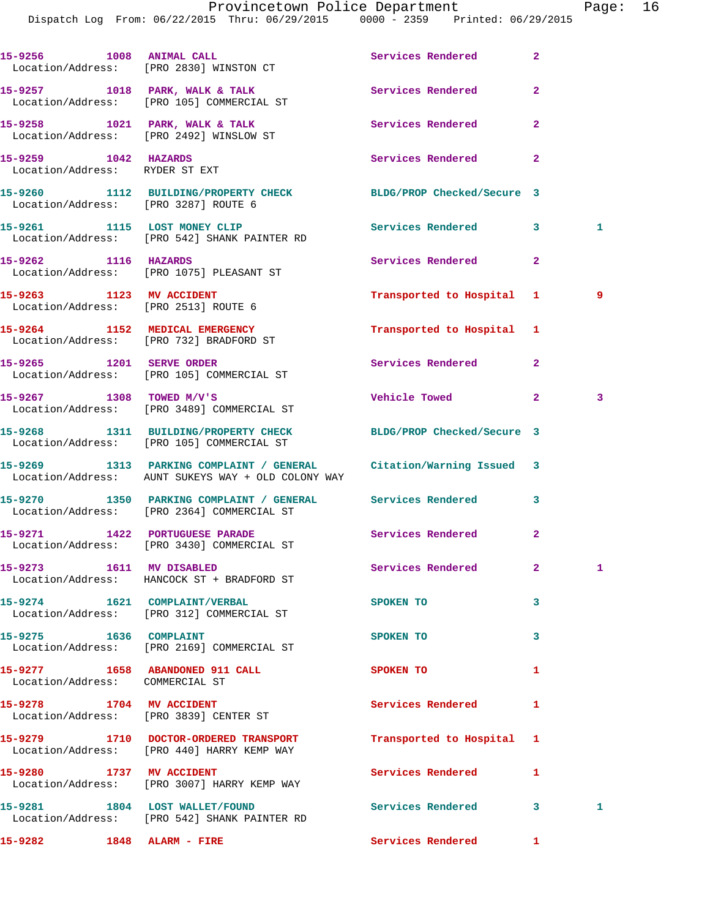|                                                                    | Dispatch Log From: 06/22/2015 Thru: 06/29/2015 0000 - 2359 Printed: 06/29/2015                                           |                           |                |              |
|--------------------------------------------------------------------|--------------------------------------------------------------------------------------------------------------------------|---------------------------|----------------|--------------|
|                                                                    | 15-9256 1008 ANIMAL CALL<br>Location/Address: [PRO 2830] WINSTON CT                                                      | Services Rendered         | $\overline{2}$ |              |
|                                                                    | 15-9257 1018 PARK, WALK & TALK<br>Location/Address: [PRO 105] COMMERCIAL ST                                              | Services Rendered         | $\mathbf{2}$   |              |
|                                                                    | 15-9258 1021 PARK, WALK & TALK<br>Location/Address: [PRO 2492] WINSLOW ST                                                | Services Rendered         | $\overline{a}$ |              |
| 15-9259 1042 HAZARDS<br>Location/Address: RYDER ST EXT             |                                                                                                                          | Services Rendered         | $\mathbf{2}$   |              |
| Location/Address: [PRO 3287] ROUTE 6                               | 15-9260 1112 BUILDING/PROPERTY CHECK BLDG/PROP Checked/Secure 3                                                          |                           |                |              |
|                                                                    | 15-9261 1115 LOST MONEY CLIP<br>Location/Address: [PRO 542] SHANK PAINTER RD                                             | Services Rendered         | 3              | $\mathbf{1}$ |
| 15-9262 1116 HAZARDS                                               | Location/Address: [PRO 1075] PLEASANT ST                                                                                 | Services Rendered         | $\mathbf{2}$   |              |
| 15-9263 1123 MV ACCIDENT<br>Location/Address: [PRO 2513] ROUTE 6   |                                                                                                                          | Transported to Hospital 1 |                | و ۔          |
|                                                                    | 15-9264 1152 MEDICAL EMERGENCY<br>Location/Address: [PRO 732] BRADFORD ST                                                | Transported to Hospital 1 |                |              |
|                                                                    | 15-9265 1201 SERVE ORDER<br>Location/Address: [PRO 105] COMMERCIAL ST                                                    | Services Rendered         | $\overline{a}$ |              |
|                                                                    | $15 - 9267$ 1308 TOWED M/V'S<br>Location/Address: [PRO 3489] COMMERCIAL ST                                               | <b>Vehicle Towed</b>      | $\mathbf{2}^-$ | 3            |
|                                                                    | 15-9268 1311 BUILDING/PROPERTY CHECK BLDG/PROP Checked/Secure 3<br>Location/Address: [PRO 105] COMMERCIAL ST             |                           |                |              |
|                                                                    | 15-9269 1313 PARKING COMPLAINT / GENERAL Citation/Warning Issued 3<br>Location/Address: AUNT SUKEYS WAY + OLD COLONY WAY |                           |                |              |
|                                                                    | 15-9270 1350 PARKING COMPLAINT / GENERAL Services Rendered<br>Location/Address: [PRO 2364] COMMERCIAL ST                 |                           | $\mathbf{3}$   |              |
|                                                                    | 15-9271 1422 PORTUGUESE PARADE<br>Location/Address: [PRO 3430] COMMERCIAL ST                                             | <b>Services Rendered</b>  |                |              |
|                                                                    | 15-9273 1611 MV DISABLED<br>Location/Address: HANCOCK ST + BRADFORD ST                                                   | Services Rendered         | $\mathbf{2}$   | 1            |
| 15-9274 1621 COMPLAINT/VERBAL                                      | Location/Address: [PRO 312] COMMERCIAL ST                                                                                | SPOKEN TO                 | 3              |              |
| 15-9275 1636 COMPLAINT                                             | Location/Address: [PRO 2169] COMMERCIAL ST                                                                               | SPOKEN TO                 | 3              |              |
| Location/Address: COMMERCIAL ST                                    | 15-9277 1658 ABANDONED 911 CALL                                                                                          | SPOKEN TO                 | 1              |              |
| 15-9278 1704 MV ACCIDENT<br>Location/Address: [PRO 3839] CENTER ST |                                                                                                                          | Services Rendered         | 1              |              |
|                                                                    | 15-9279 1710 DOCTOR-ORDERED TRANSPORT<br>Location/Address: [PRO 440] HARRY KEMP WAY                                      | Transported to Hospital   | 1              |              |
| 15-9280 1737 MV ACCIDENT                                           | Location/Address: [PRO 3007] HARRY KEMP WAY                                                                              | Services Rendered         | 1              |              |
|                                                                    | 15-9281 1804 LOST WALLET/FOUND<br>Location/Address: [PRO 542] SHANK PAINTER RD                                           | Services Rendered         | 3              | 1            |

**15-9282 1848 ALARM - FIRE Services Rendered 1**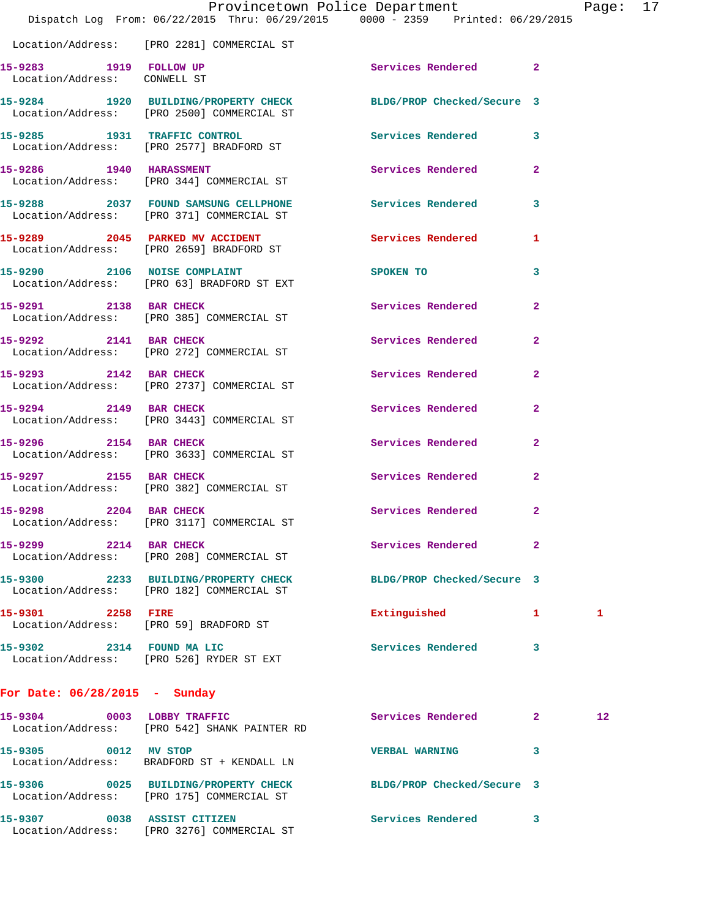|                                                             | Provincetown Police Department<br>Dispatch Log From: 06/22/2015 Thru: 06/29/2015 0000 - 2359 Printed: 06/29/2015 |                            |              | Page: 17 |  |
|-------------------------------------------------------------|------------------------------------------------------------------------------------------------------------------|----------------------------|--------------|----------|--|
|                                                             | Location/Address: [PRO 2281] COMMERCIAL ST                                                                       |                            |              |          |  |
| 15-9283 1919 FOLLOW UP<br>Location/Address: CONWELL ST      |                                                                                                                  | Services Rendered 2        |              |          |  |
|                                                             | 15-9284 1920 BUILDING/PROPERTY CHECK BLDG/PROP Checked/Secure 3<br>Location/Address: [PRO 2500] COMMERCIAL ST    |                            |              |          |  |
|                                                             | 15-9285 1931 TRAFFIC CONTROL<br>Location/Address: [PRO 2577] BRADFORD ST                                         | Services Rendered 3        |              |          |  |
| 15-9286 1940 HARASSMENT                                     | Location/Address: [PRO 344] COMMERCIAL ST                                                                        | Services Rendered 2        |              |          |  |
|                                                             | 15-9288 2037 FOUND SAMSUNG CELLPHONE<br>Location/Address: [PRO 371] COMMERCIAL ST                                | Services Rendered 3        |              |          |  |
|                                                             | 15-9289 2045 PARKED MV ACCIDENT<br>Location/Address: [PRO 2659] BRADFORD ST                                      | Services Rendered          | 1            |          |  |
|                                                             | 15-9290 2106 NOISE COMPLAINT<br>Location/Address: [PRO 63] BRADFORD ST EXT                                       | SPOKEN TO                  | 3            |          |  |
| 15-9291 2138 BAR CHECK                                      | Location/Address: [PRO 385] COMMERCIAL ST                                                                        | Services Rendered          | $\mathbf{2}$ |          |  |
|                                                             | 15-9292 2141 BAR CHECK<br>Location/Address: [PRO 272] COMMERCIAL ST                                              | Services Rendered          | $\mathbf{2}$ |          |  |
|                                                             | 15-9293 2142 BAR CHECK<br>Location/Address: [PRO 2737] COMMERCIAL ST                                             | Services Rendered          | $\mathbf{2}$ |          |  |
|                                                             | 15-9294 2149 BAR CHECK<br>Location/Address: [PRO 3443] COMMERCIAL ST                                             | Services Rendered          | $\mathbf{2}$ |          |  |
|                                                             | 15-9296 2154 BAR CHECK<br>Location/Address: [PRO 3633] COMMERCIAL ST                                             | Services Rendered          | $\mathbf{2}$ |          |  |
| 15-9297 2155 BAR CHECK                                      | Location/Address: [PRO 382] COMMERCIAL ST                                                                        | Services Rendered          | $\mathbf{2}$ |          |  |
| 2204<br>15-9298                                             | <b>BAR CHECK</b><br>Location/Address: [PRO 3117] COMMERCIAL ST                                                   | Services Rendered          | 2            |          |  |
| 15-9299 2214 BAR CHECK                                      | Location/Address: [PRO 208] COMMERCIAL ST                                                                        | Services Rendered          | 2            |          |  |
|                                                             | 15-9300 2233 BUILDING/PROPERTY CHECK<br>Location/Address: [PRO 182] COMMERCIAL ST                                | BLDG/PROP Checked/Secure 3 |              |          |  |
| 15-9301 2258 FIRE<br>Location/Address: [PRO 59] BRADFORD ST |                                                                                                                  | Extinguished               | 1            | 1        |  |
| 15-9302 2314 FOUND MA LIC                                   | Location/Address: [PRO 526] RYDER ST EXT                                                                         | <b>Services Rendered</b>   | 3            |          |  |
|                                                             |                                                                                                                  |                            |              |          |  |

## **For Date: 06/28/2015 - Sunday**

| 15-9304<br>Location/Address: | 0003 | LOBBY TRAFFIC<br>FRO 5421 SHANK PAINTER RD                | Services Rendered          | 2 | 12 <sup>°</sup> |
|------------------------------|------|-----------------------------------------------------------|----------------------------|---|-----------------|
| 15-9305                      | 0012 | MV STOP<br>Location/Address: BRADFORD ST + KENDALL LN     | <b>VERBAL WARNING</b>      |   |                 |
| 15-9306<br>Location/Address: | 0025 | <b>BUILDING/PROPERTY CHECK</b><br>[PRO 175] COMMERCIAL ST | BLDG/PROP Checked/Secure 3 |   |                 |
| 15-9307<br>Location/Address: | 0038 | <b>ASSIST CITIZEN</b><br>[PRO 3276] COMMERCIAL ST         | Services Rendered          | 3 |                 |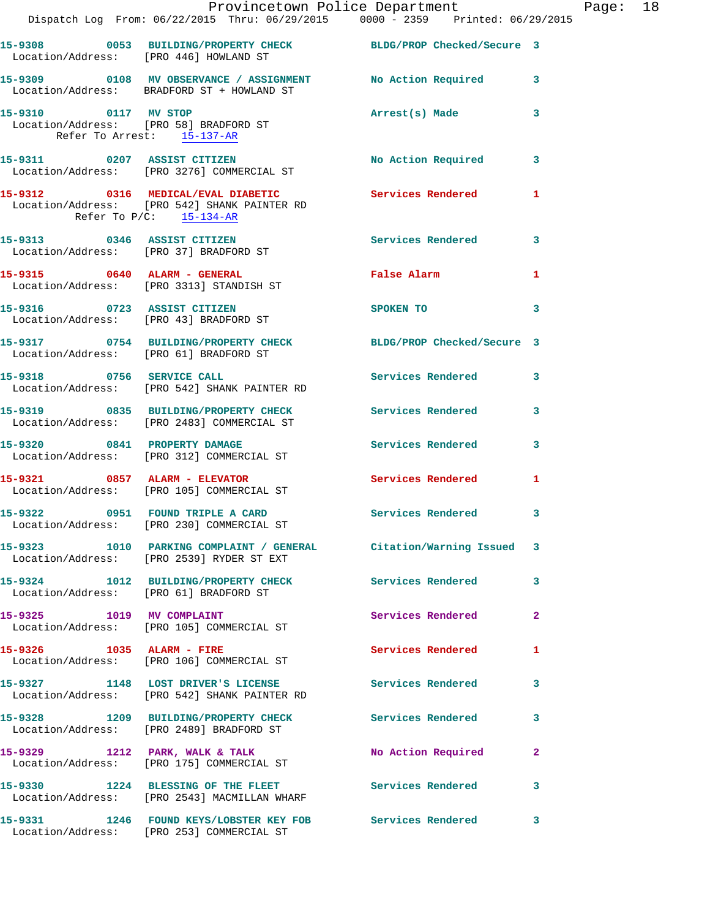|                                                                | Provincetown Police Department                                                                                                       |                            |              |
|----------------------------------------------------------------|--------------------------------------------------------------------------------------------------------------------------------------|----------------------------|--------------|
|                                                                | Dispatch Log From: 06/22/2015 Thru: 06/29/2015 0000 - 2359 Printed: 06/29/2015                                                       |                            |              |
| Location/Address: [PRO 446] HOWLAND ST                         | 15-9308 0053 BUILDING/PROPERTY CHECK BLDG/PROP Checked/Secure 3                                                                      |                            |              |
|                                                                | 15-9309 0108 MV OBSERVANCE / ASSIGNMENT No Action Required<br>Location/Address: BRADFORD ST + HOWLAND ST                             |                            | 3            |
| 15-9310 0117 MV STOP<br>Location/Address: [PRO 58] BRADFORD ST | Refer To Arrest: 15-137-AR                                                                                                           | Arrest(s) Made             | 3            |
|                                                                | 15-9311 0207 ASSIST CITIZEN<br>Location/Address: [PRO 3276] COMMERCIAL ST                                                            | <b>No Action Required</b>  | 3            |
|                                                                | 15-9312 0316 MEDICAL/EVAL DIABETIC Services Rendered<br>Location/Address: [PRO 542] SHANK PAINTER RD<br>Refer To $P/C$ : $15-134-AR$ |                            | 1            |
| 15-9313 0346 ASSIST CITIZEN                                    | Location/Address: [PRO 37] BRADFORD ST                                                                                               | <b>Services Rendered</b>   | 3            |
|                                                                | $15-9315$ 0640 ALARM - GENERAL<br>Location/Address: [PRO 3313] STANDISH ST                                                           | False Alarm                | 1            |
| Location/Address: [PRO 43] BRADFORD ST                         | 15-9316 0723 ASSIST CITIZEN                                                                                                          | SPOKEN TO                  | 3            |
| Location/Address: [PRO 61] BRADFORD ST                         | 15-9317 0754 BUILDING/PROPERTY CHECK                                                                                                 | BLDG/PROP Checked/Secure 3 |              |
|                                                                | 15-9318 0756 SERVICE CALL<br>Location/Address: [PRO 542] SHANK PAINTER RD                                                            | <b>Services Rendered</b>   | 3            |
|                                                                | 15-9319 0835 BUILDING/PROPERTY CHECK<br>Location/Address: [PRO 2483] COMMERCIAL ST                                                   | <b>Services Rendered</b>   | 3            |
|                                                                | 15-9320 0841 PROPERTY DAMAGE<br>Location/Address: [PRO 312] COMMERCIAL ST                                                            | <b>Services Rendered</b>   | 3            |
| 15-9321 0857 ALARM - ELEVATOR                                  | Location/Address: [PRO 105] COMMERCIAL ST                                                                                            | <b>Services Rendered</b>   | 1            |
| 15-9322 0951 FOUND TRIPLE A CARD                               | Location/Address: [PRO 230] COMMERCIAL ST                                                                                            | Services Rendered          | 3            |
|                                                                | 15-9323 1010 PARKING COMPLAINT / GENERAL Citation/Warning Issued<br>Location/Address: [PRO 2539] RYDER ST EXT                        |                            | 3            |
| Location/Address: [PRO 61] BRADFORD ST                         | 15-9324 1012 BUILDING/PROPERTY CHECK                                                                                                 | Services Rendered          | 3            |
| 15-9325 1019 MV COMPLAINT                                      | Location/Address: [PRO 105] COMMERCIAL ST                                                                                            | Services Rendered          | $\mathbf{2}$ |
|                                                                | 15-9326 1035 ALARM - FIRE<br>Location/Address: [PRO 106] COMMERCIAL ST                                                               | Services Rendered          | 1            |
|                                                                | 15-9327 1148 LOST DRIVER'S LICENSE<br>Location/Address: [PRO 542] SHANK PAINTER RD                                                   | Services Rendered          | 3            |
|                                                                | 15-9328 1209 BUILDING/PROPERTY CHECK<br>Location/Address: [PRO 2489] BRADFORD ST                                                     | Services Rendered          | 3            |
|                                                                | 15-9329 1212 PARK, WALK & TALK<br>Location/Address: [PRO 175] COMMERCIAL ST                                                          | No Action Required         | 2            |
|                                                                | 15-9330 1224 BLESSING OF THE FLEET<br>Location/Address: [PRO 2543] MACMILLAN WHARF                                                   | <b>Services Rendered</b>   | 3            |
|                                                                | 15-9331 1246 FOUND KEYS/LOBSTER KEY FOB Services Rendered<br>Location/Address: [PRO 253] COMMERCIAL ST                               |                            | 3            |

Page: 18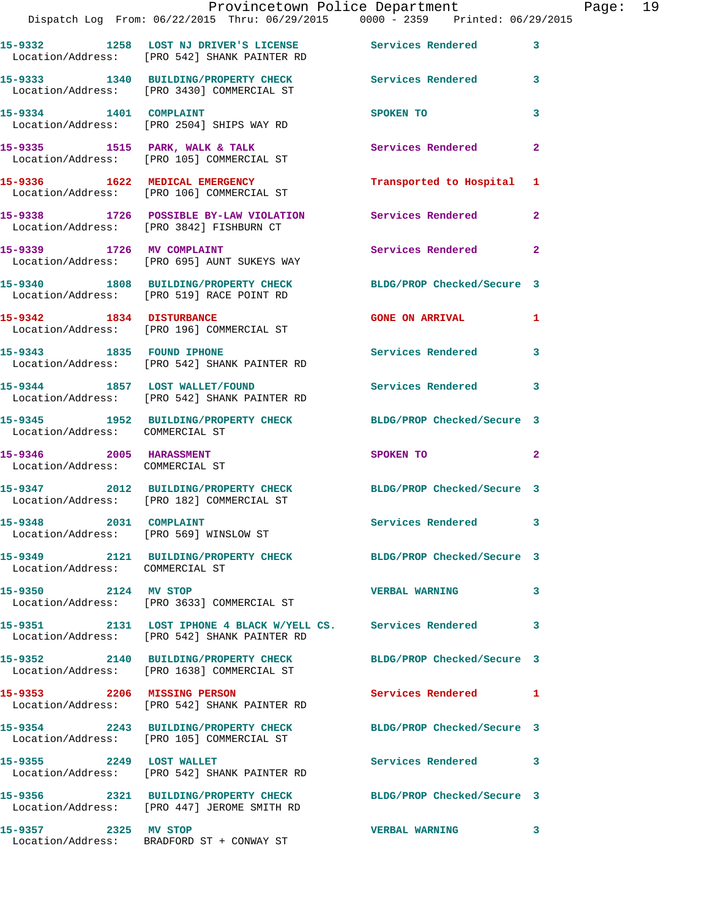|                                                                  | Provincetown Police Department<br>Dispatch Log From: 06/22/2015 Thru: 06/29/2015 0000 - 2359 Printed: 06/29/2015 |                                  | Page: 19     |
|------------------------------------------------------------------|------------------------------------------------------------------------------------------------------------------|----------------------------------|--------------|
|                                                                  | 15-9332 1258 LOST NJ DRIVER'S LICENSE Services Rendered 3<br>Location/Address: [PRO 542] SHANK PAINTER RD        |                                  |              |
|                                                                  | 15-9333 1340 BUILDING/PROPERTY CHECK Services Rendered 3<br>Location/Address: [PRO 3430] COMMERCIAL ST           |                                  |              |
|                                                                  | 15-9334 1401 COMPLAINT<br>Location/Address: [PRO 2504] SHIPS WAY RD                                              | SPOKEN TO                        | 3            |
|                                                                  | 15-9335 1515 PARK, WALK & TALK 1999 Services Rendered<br>Location/Address: [PRO 105] COMMERCIAL ST               |                                  | $\mathbf{2}$ |
|                                                                  | 15-9336 1622 MEDICAL EMERGENCY<br>Location/Address: [PRO 106] COMMERCIAL ST                                      | Transported to Hospital 1        |              |
|                                                                  | 15-9338 1726 POSSIBLE BY-LAW VIOLATION Services Rendered<br>Location/Address: [PRO 3842] FISHBURN CT             |                                  | $\mathbf{2}$ |
|                                                                  | 15-9339 1726 MV COMPLAINT<br>Location/Address: [PRO 695] AUNT SUKEYS WAY                                         | Services Rendered 2              |              |
|                                                                  | 15-9340 1808 BUILDING/PROPERTY CHECK BLDG/PROP Checked/Secure 3<br>Location/Address: [PRO 519] RACE POINT RD     |                                  |              |
|                                                                  | 15-9342 1834 DISTURBANCE<br>Location/Address: [PRO 196] COMMERCIAL ST                                            | GONE ON ARRIVAL 1                |              |
|                                                                  | 15-9343 1835 FOUND IPHONE<br>Location/Address: [PRO 542] SHANK PAINTER RD                                        | Services Rendered                | 3            |
|                                                                  | 15-9344 1857 LOST WALLET/FOUND Services Rendered 3<br>Location/Address: [PRO 542] SHANK PAINTER RD               |                                  |              |
| Location/Address: COMMERCIAL ST                                  | 15-9345 1952 BUILDING/PROPERTY CHECK BLDG/PROP Checked/Secure 3                                                  |                                  |              |
| 15-9346 2005 HARASSMENT<br>Location/Address: COMMERCIAL ST       |                                                                                                                  | SPOKEN TO AND TO A THE SPOKEN TO | $\mathbf{2}$ |
|                                                                  | 15-9347 2012 BUILDING/PROPERTY CHECK BLDG/PROP Checked/Secure 3<br>Location/Address: [PRO 182] COMMERCIAL ST     |                                  |              |
| 15-9348 2031 COMPLAINT<br>Location/Address: [PRO 569] WINSLOW ST |                                                                                                                  | <b>Services Rendered</b>         |              |
| Location/Address: COMMERCIAL ST                                  | 15-9349 2121 BUILDING/PROPERTY CHECK BLDG/PROP Checked/Secure 3                                                  |                                  |              |
| 15-9350 2124 MV STOP                                             | Location/Address: [PRO 3633] COMMERCIAL ST                                                                       | <b>VERBAL WARNING</b>            | 3            |
|                                                                  | 15-9351 2131 LOST IPHONE 4 BLACK W/YELL CS. Services Rendered 3<br>Location/Address: [PRO 542] SHANK PAINTER RD  |                                  |              |
|                                                                  | 15-9352 2140 BUILDING/PROPERTY CHECK BLDG/PROP Checked/Secure 3<br>Location/Address: [PRO 1638] COMMERCIAL ST    |                                  |              |
|                                                                  | 15-9353 2206 MISSING PERSON<br>Location/Address: [PRO 542] SHANK PAINTER RD                                      | Services Rendered 1              |              |
|                                                                  | 15-9354 2243 BUILDING/PROPERTY CHECK BLDG/PROP Checked/Secure 3<br>Location/Address: [PRO 105] COMMERCIAL ST     |                                  |              |
|                                                                  | 15-9355 2249 LOST WALLET<br>Location/Address: [PRO 542] SHANK PAINTER RD                                         | Services Rendered 3              |              |
|                                                                  | 15-9356 2321 BUILDING/PROPERTY CHECK BLDG/PROP Checked/Secure 3<br>Location/Address: [PRO 447] JEROME SMITH RD   |                                  |              |
| 15-9357 2325 MV STOP                                             |                                                                                                                  | VERBAL WARNING 3                 |              |

Location/Address: BRADFORD ST + CONWAY ST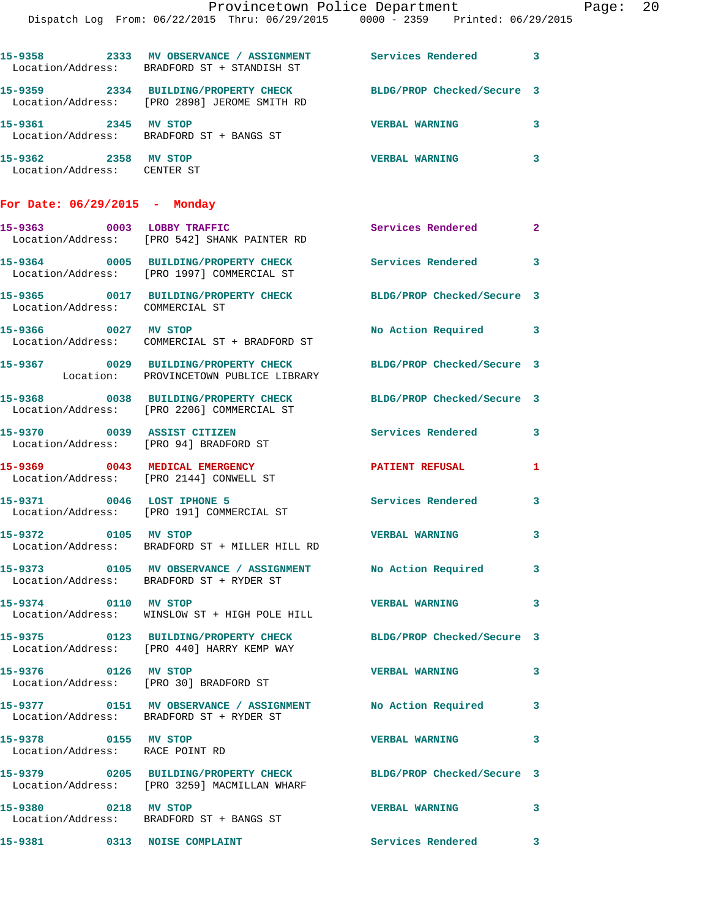|                                                     | Provincetown Police Department Page: 20                                                                         |                         |              |  |
|-----------------------------------------------------|-----------------------------------------------------------------------------------------------------------------|-------------------------|--------------|--|
|                                                     | Dispatch Log From: 06/22/2015 Thru: 06/29/2015 0000 - 2359 Printed: 06/29/2015                                  |                         |              |  |
|                                                     | 15-9358 2333 MV OBSERVANCE / ASSIGNMENT Services Rendered 3<br>Location/Address: BRADFORD ST + STANDISH ST      |                         |              |  |
|                                                     | 15-9359 2334 BUILDING/PROPERTY CHECK BLDG/PROP Checked/Secure 3<br>Location/Address: [PRO 2898] JEROME SMITH RD |                         |              |  |
|                                                     | 15-9361 2345 MV STOP<br>Location/Address: BRADFORD ST + BANGS ST                                                | <b>VERBAL WARNING</b>   | 3            |  |
| 15-9362 2358 MV STOP<br>Location/Address: CENTER ST |                                                                                                                 | <b>VERBAL WARNING</b>   | 3            |  |
| For Date: $06/29/2015$ - Monday                     |                                                                                                                 |                         |              |  |
|                                                     | 15-9363 0003 LOBBY TRAFFIC<br>Location/Address: [PRO 542] SHANK PAINTER RD                                      | Services Rendered       | $\mathbf{2}$ |  |
|                                                     | 15-9364 0005 BUILDING/PROPERTY CHECK Services Rendered 3<br>Location/Address: [PRO 1997] COMMERCIAL ST          |                         |              |  |
| Location/Address: COMMERCIAL ST                     | 15-9365 0017 BUILDING/PROPERTY CHECK BLDG/PROP Checked/Secure 3                                                 |                         |              |  |
| 15-9366 0027 MV STOP                                | Location/Address: COMMERCIAL ST + BRADFORD ST                                                                   | No Action Required 3    |              |  |
|                                                     | 15-9367 0029 BUILDING/PROPERTY CHECK BLDG/PROP Checked/Secure 3<br>Location: PROVINCETOWN PUBLICE LIBRARY       |                         |              |  |
|                                                     | 15-9368 0038 BUILDING/PROPERTY CHECK BLDG/PROP Checked/Secure 3<br>Location/Address: [PRO 2206] COMMERCIAL ST   |                         |              |  |
|                                                     | 15-9370 0039 ASSIST CITIZEN<br>Location/Address: [PRO 94] BRADFORD ST                                           | Services Rendered 3     |              |  |
|                                                     | 15-9369 0043 MEDICAL EMERGENCY PATIENT REFUSAL<br>Location/Address: [PRO 2144] CONWELL ST                       |                         | 1            |  |
|                                                     | 15-9371 0046 LOST IPHONE 5<br>Location/Address: [PRO 191] COMMERCIAL ST                                         | Services Rendered       | 3            |  |
| 15-9372 0105 MV STOP                                | Location/Address: BRADFORD ST + MILLER HILL RD                                                                  | <b>VERBAL WARNING</b>   | 3            |  |
|                                                     | 15-9373 0105 MV OBSERVANCE / ASSIGNMENT No Action Required 3<br>Location/Address: BRADFORD ST + RYDER ST        |                         |              |  |
| 15-9374 0110 MV STOP                                | Location/Address: WINSLOW ST + HIGH POLE HILL                                                                   | <b>VERBAL WARNING</b>   | $\mathbf{3}$ |  |
|                                                     | 15-9375 0123 BUILDING/PROPERTY CHECK BLDG/PROP Checked/Secure 3<br>Location/Address: [PRO 440] HARRY KEMP WAY   |                         |              |  |
| 15-9376 0126 MV STOP                                | Location/Address: [PRO 30] BRADFORD ST                                                                          | VERBAL WARNING 3        |              |  |
|                                                     | 15-9377 0151 MV OBSERVANCE / ASSIGNMENT No Action Required 3<br>Location/Address: BRADFORD ST + RYDER ST        |                         |              |  |
| 15-9378 0155 MV STOP                                | Location/Address: RACE POINT RD                                                                                 | <b>VERBAL WARNING 3</b> |              |  |
|                                                     | 15-9379 0205 BUILDING/PROPERTY CHECK BLDG/PROP Checked/Secure 3<br>Location/Address: [PRO 3259] MACMILLAN WHARF |                         |              |  |
| 15-9380 0218 MV STOP                                | Location/Address: BRADFORD ST + BANGS ST                                                                        | <b>VERBAL WARNING</b>   | $\mathbf{3}$ |  |
|                                                     | 15-9381 0313 NOISE COMPLAINT                                                                                    | Services Rendered 3     |              |  |